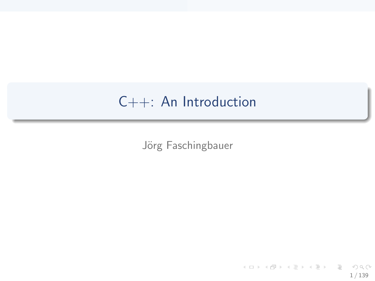## C++: An Introduction

Jörg Faschingbauer

K ロ ▶ K 個 ▶ K 星 ▶ K 星 ▶ 三星 → りなひ 1 / 139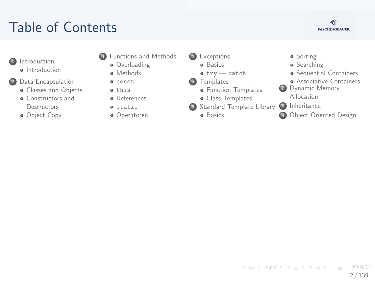## T[abl](#page-2-0)[e of Conte](#page-3-0)nts



- **1** Introduction
	- **a** Int[roduction](#page-8-0)
- 2 Data [Encapsulation](#page-19-0)
	- **Classes and Objects**
	- **a** [Constructors and](#page-19-0) **Destructors**
	- **·** Ob[ject Copy](#page-33-0)
- **3** [Fun](#page-7-0)ctions and Methods
	- **a** Overloading
	- **a** Methods
	- const **a** this
	- **a** References
	- **a** static
	- Operatoren

4 [Except](#page-54-0)ions

- **a** [B](#page-58-0)asics
- $\bullet$  try  $-$  catch
- **5** [Templates](#page-61-0)
	- **·** Function Templates
	- [Class T](#page-65-0)emplates
- **6** [Standard Temp](#page-68-0)late Library
	- **a** Basics
- **·** Sorting
- **•** Searching
- **•** Sequential C[ontainers](#page-92-0)
- **Associative C[ontainers](#page-96-0)**
- **7** Dynamic M[emory](#page-101-0) Allocation
	-

 $\left\{ \begin{array}{ccc} 1 & 0 & 0 \\ 0 & 1 & 0 \end{array} \right\}$  ,  $\left\{ \begin{array}{ccc} 0 & 0 & 0 \\ 0 & 0 & 0 \end{array} \right\}$  ,  $\left\{ \begin{array}{ccc} 0 & 0 & 0 \\ 0 & 0 & 0 \end{array} \right\}$ 

- 8 Inheritance
- **9** Object Oriente[d Design](#page-102-0)

2 / 139

 $\Omega$ 

 $\equiv$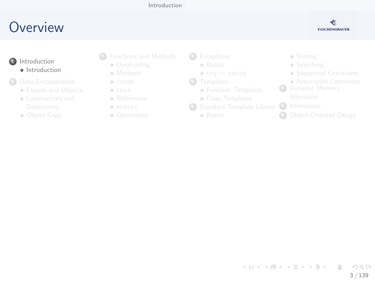#### [Introduction](#page-2-0)

### <span id="page-2-0"></span>**O[ve](#page-2-0)[rview](#page-3-0)**



- **1** Introduction **a** Int[roduction](#page-8-0)
- <sup>2</sup> Data [Encapsulation](#page-19-0)
	- **Classes and Objects**
	- [Constructors and](#page-19-0)
	- Ob[ject Copy](#page-33-0)
- <sup>3</sup> [Fun](#page-7-0)ctions and Methods
	- **Overloading**
	- **•** Methods
	- const this
	- **•** References
	- static
	- Operatoren
- 4 [Except](#page-54-0)ions
	- **a** [B](#page-58-0)asics
	- $\bullet$  try  $-$  catch
- **6** [Templates](#page-61-0)
	- **Function Templates**
	- [Class T](#page-65-0)emplates
- <sup>6</sup> [Standard Temp](#page-68-0)late Library
	- **a** Basics
- Sorting
- **•** Searching
- Sequential C[ontainers](#page-92-0)
- **Associative C[ontainers](#page-96-0)**
- **7** Dynamic M[emory](#page-101-0)
	-
- 8 Inheritance
- **9 Object Oriente[d Design](#page-102-0)**

イロト イ部 トイヨ トイヨト  $\equiv$  $\Omega$ 3 / 139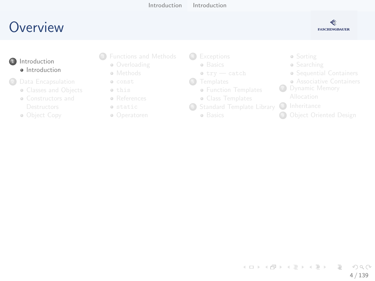[Introduction](#page-2-0) [Introduction](#page-3-0)

## <span id="page-3-0"></span>**O[ve](#page-2-0)[rview](#page-3-0)**



- **1** Introduction **a** Int[roduction](#page-8-0)
- <sup>2</sup> Data [Encapsulation](#page-19-0)
	- **Classes and Objects**
	- [Constructors and](#page-19-0)
	- Ob[ject Copy](#page-33-0)
- <sup>3</sup> [Fun](#page-7-0)ctions and Methods
	- **Overloading**
	- **•** Methods
	- const this
	- References
	- static
	- Operatoren
- 4 [Except](#page-54-0)ions
	- **a** [B](#page-58-0)asics
	- $\bullet$  try  $-$  catch
- **6** [Templates](#page-61-0)
	- **Function Templates**
	- [Class T](#page-65-0)emplates
- <sup>6</sup> [Standard Temp](#page-68-0)late Library
	- **a** Basics
- Sorting
- **•** Searching
- Sequential C[ontainers](#page-92-0)
- **Associative C[ontainers](#page-96-0)**
- **7** Dynamic M[emory](#page-101-0)
	-
- 8 Inheritance
- **<sup>4</sup>** Object Oriente[d Design](#page-102-0)

イロト イ部 トイヨ トイヨト  $\equiv$  $\Omega$ 4 / 139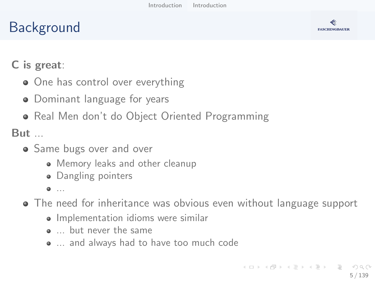## Background



### C is great:

- One has control over everything
- Dominant language for years
- Real Men don't do Object Oriented Programming

But ...

- **•** Same bugs over and over
	- Memory leaks and other cleanup
	- Dangling pointers
	- $0.11$
- The need for inheritance was obvious even without language support
	- Implementation idioms were similar
	- ... but never the same
	- ... and always had to have too much code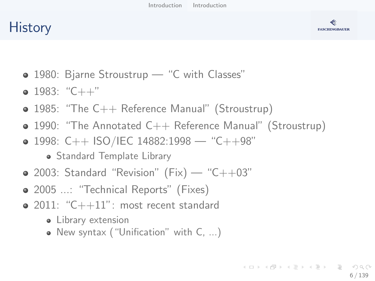## **History**



- 1980: Bjarne Stroustrup "C with Classes"
- $\bullet$  1983: "C++"
- 1985: "The C++ Reference Manual" (Stroustrup)
- 1990: "The Annotated C++ Reference Manual" (Stroustrup)
- $\bullet$  1998: C++ ISO/IEC 14882:1998 "C++98"
	- Standard Template Library
- $\bullet$  2003: Standard "Revision" (Fix) "C++03"
- 2005 ...: "Technical Reports" (Fixes)
- $\bullet$  2011: "C++11": most recent standard
	- Library extension
	- New syntax ("Unification" with C, ...)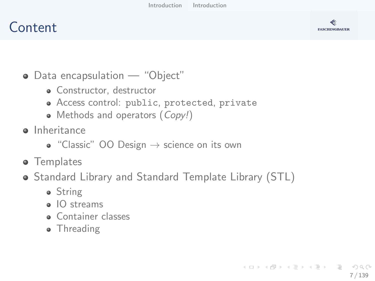### Content



- Data encapsulation "Object"
	- Constructor, destructor
	- Access control: public, protected, private
	- Methods and operators (Copy!)
- **o** Inheritance
	- $\bullet$  "Classic" OO Design  $\rightarrow$  science on its own
- **•** Templates
- Standard Library and Standard Template Library (STL)
	- String
	- IO streams
	- **Container classes**
	- Threading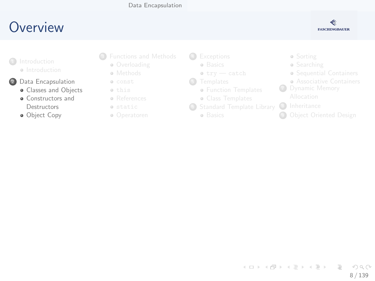#### [Data Encapsulation](#page-7-0)

### <span id="page-7-0"></span>**O[ve](#page-2-0)[rview](#page-3-0)**



- **a** Int[roduction](#page-8-0)
- 2 Data [Encapsulation](#page-19-0)
	- **·** Classes and Objects
	- **a** [Constructors and](#page-19-0) **Destructors**
	- **·** Ob[ject Copy](#page-33-0)
- <sup>3</sup> [Fun](#page-7-0)ctions and Methods
	- **Overloading**
	- **•** Methods
	- const this
	- References
	- static
	- Operatoren
- 4 [Except](#page-54-0)ions
	- **a** [B](#page-58-0)asics
	- $\bullet$  try  $-$  catch
- **6** [Templates](#page-61-0)
	- **Function Templates**
	- [Class T](#page-65-0)emplates
- <sup>6</sup> [Standard Temp](#page-68-0)late Library
	- **a** Basics
- Sorting
- **•** Searching
- Sequential C[ontainers](#page-92-0)
- **Associative C[ontainers](#page-96-0)**
- **7** Dynamic M[emory](#page-101-0)
	-
- 8 Inheritance
- **9 Object Oriente[d Design](#page-102-0)**

イロト イ部 トイヨ トイヨト  $\equiv$  $\Omega$ 8 / 139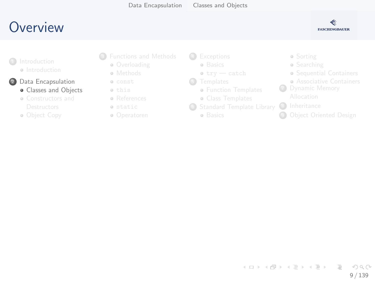### <span id="page-8-0"></span>**O[ve](#page-2-0)[rview](#page-3-0)**



- **a** Int[roduction](#page-8-0)
- 2 Data [Encapsulation](#page-19-0)
	- **Classes and Objects**
	- [Constructors and](#page-19-0)
	- Ob[ject Copy](#page-33-0)
- <sup>3</sup> [Fun](#page-7-0)ctions and Methods
	- **Overloading**
	- **•** Methods
	- const this
	- **•** References
	- static
	- Operatoren
- 4 [Except](#page-54-0)ions
	- **a** [B](#page-58-0)asics
	- $\bullet$  try  $-$  catch
- **6** [Templates](#page-61-0)
	- **Function Templates**
	- [Class T](#page-65-0)emplates
- <sup>6</sup> [Standard Temp](#page-68-0)late Library
	- **a** Basics
- Sorting
- **•** Searching
- Sequential C[ontainers](#page-92-0)
- **Associative C[ontainers](#page-96-0)**
- **7** Dynamic M[emory](#page-101-0)
	-
- 8 Inheritance
- **9 Object Oriente[d Design](#page-102-0)**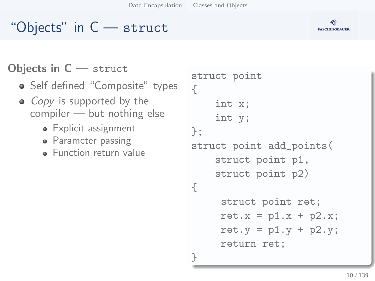## "Objects" in C — struct

### Objects in C — struct

- Self defined "Composite" types
- *Copy* is supported by the compiler — but nothing else
	- Explicit assignment
	- Parameter passing
	- **•** Function return value

```
struct point
{
    int x;
    int y;
};
struct point add_points(
    struct point p1,
    struct point p2)
{
     struct point ret;
     ret.x = p1.x + p2.x;ret.y = p1.y + p2.y;
     return ret;
}
```
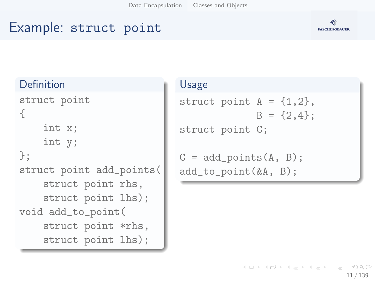## Example: struct point



#### Definition

```
struct point
{
    int x;
    int y;
};
struct point add_points(
    struct point rhs,
    struct point lhs);
void add_to_point(
    struct point *rhs,
    struct point lhs);
```
#### Usage

```
struct point A = \{1, 2\},
              B = \{2, 4\}:
struct point C;
C = add\_points(A, B);
```

```
add_to_point(&A, B);
```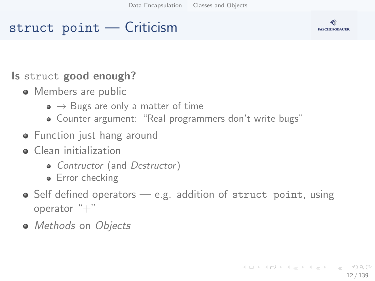### struct point — Criticism



- Members are public
	- $\bullet \rightarrow$  Bugs are only a matter of time
	- Counter argument: "Real programmers don't write bugs"
- **•** Function just hang around
- **o** Clean initialization
	- Contructor (and Destructor)
	- Error checking
- $\bullet$  Self defined operators  $-$  e.g. addition of struct point, using operator  $"+'$
- Methods on Objects



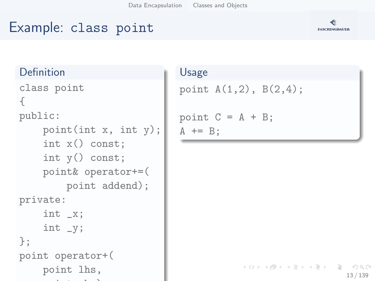### Example: class point

#### Definition

```
class point
{
public:
       point(int x, int y);
       int x() const;
       int y() const;
       point& operator+=(
             point addend);
private:
       int _x;
       int _y;
};
point operator+(
       point lhs,
         point results in the contract of the contract of the contract of the contract of the contract of the contract of
```
#### Usage

```
point A(1,2), B(2,4);
point C = A + B;
A += B;
```


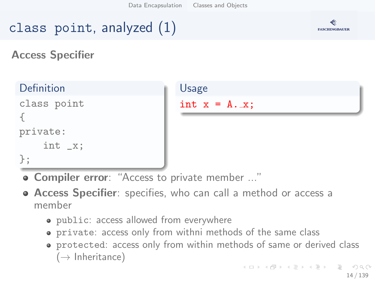## class point, analyzed (1)



Access Specifier

| Definition             | Usage                 |
|------------------------|-----------------------|
| class point            | int $x = A \cdot x$ ; |
| private:<br>int $_x$ ; |                       |
| $\}$ ;                 |                       |

- **Compiler error**: "Access to private member ..."
- **Access Specifier**: specifies, who can call a method or access a member
	- public: access allowed from everywhere
	- private: access only from withni methods of the same class
	- protected: access only from within methods of same or derived class  $(\rightarrow$  Inheritance)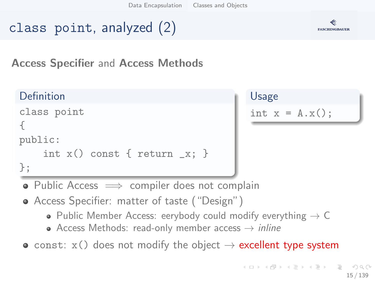## class point, analyzed (2)



#### Access Specifier and Access Methods

### Definition

```
class point
{
public:
    int x() const { return -x; }
};
```
## Usage int  $x = A.x()$ ;

- Public Access  $\implies$  compiler does not complain
- Access Specifier: matter of taste ("Design")
	- Public Member Access: eerybody could modify everything  $\rightarrow$  C
	- Access Methods: read-only member access  $\rightarrow$  inline
- const:  $x()$  does not modify the object  $\rightarrow$  excellent type system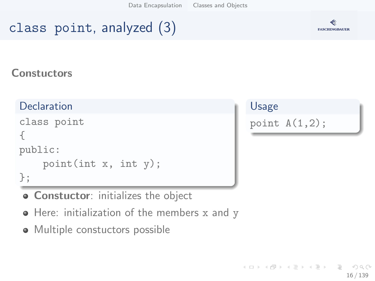## class point, analyzed (3)



#### **Constuctors**

#### **Declaration**

```
class point
{
public:
    point(int x, int y);
};
```
**• Constuctor:** initializes the object

- Here: initialization of the members x and y
- Multiple constuctors possible

#### Usage

point  $A(1,2)$ ;

イロト イ部 トイミト イモト  $\equiv$  $\Omega$ 16 / 139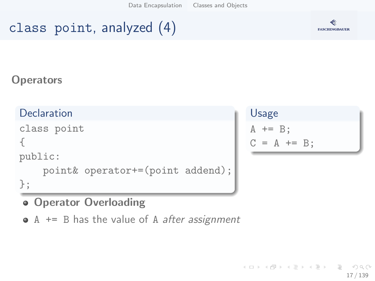## class point, analyzed (4)



#### **Operators**

#### **Declaration**

```
class point
{
public:
    point& operator+=(point addend);
};
```
**• Operator Overloading** 

 $\bullet$  A  $\leftarrow$  B has the value of A *after assignment* 

### Usage  $A$  +=  $B$ ;  $C = A += B$ :

K ロ ) - K (ラ ) - K (ミ ) - K (ミ ) - ( ) ()  $OQ$ 17 / 139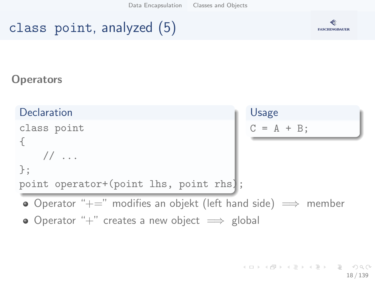## class point, analyzed (5)



#### **Operators**

| Declaration                                                               | Usage        |
|---------------------------------------------------------------------------|--------------|
| class point                                                               | $C = A + B;$ |
| $\frac{1}{2}$                                                             |              |
| $\ddagger$ :                                                              |              |
| point operator+(point lhs, point rhs);                                    |              |
| • Operator " $+=$ " modifies an objekt (left hand side) $\implies$ member |              |
| • Operator "+" creates a new object $\implies$ global                     |              |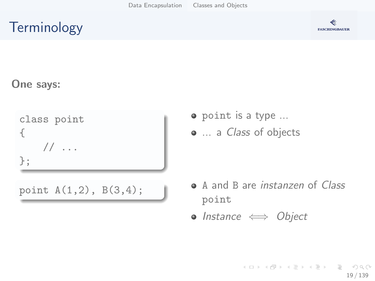## **Terminology**



#### One says:

class point {  $// \dots$ };

- point is a type ...
- ... a *Class* of objects

- point  $A(1,2)$ ,  $B(3,4)$ ;  $\bullet$  A and B are *instanzen* of *Class* point
	- Instance  $\iff$  Object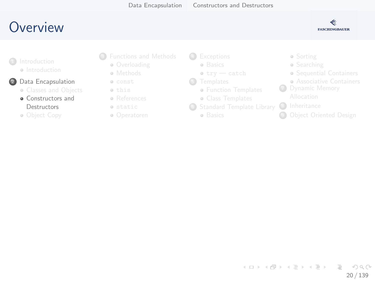### <span id="page-19-0"></span>**O[ve](#page-2-0)[rview](#page-3-0)**



- **a** Int[roduction](#page-8-0)
- 2 Data [Encapsulation](#page-19-0)
	- **Classes and Objects**
	- [Constructors and](#page-19-0) Destructors
	- Ob[ject Copy](#page-33-0)
- <sup>3</sup> [Fun](#page-7-0)ctions and Methods
	- **Overloading**
	- **•** Methods
	- const this
	- **a** References
	- static
	- Operatoren
- 4 [Except](#page-54-0)ions
	- **a** [B](#page-58-0)asics
	- $\bullet$  try  $-$  catch
- **6** [Templates](#page-61-0)
	- **Function Templates**
	- [Class T](#page-65-0)emplates
- <sup>6</sup> [Standard Temp](#page-68-0)late Library
	- **a** Basics
- Sorting
- **•** Searching
- Sequential C[ontainers](#page-92-0)
- **Associative C[ontainers](#page-96-0)**
- **7** Dynamic M[emory](#page-101-0)
	-
- 8 Inheritance
- **9 Object Oriente[d Design](#page-102-0)**

イロト イ部 トイモト イモト  $\equiv$  $\Omega$ 20 / 139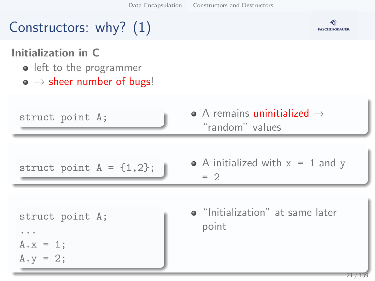[Data Encapsulation](#page-7-0) [Constructors and Destructors](#page-19-0)

## Constructors: why? (1)



Initialization in C

- o left to the programmer
- $\bullet \rightarrow$  sheer number of bugs!

| struct point A; | $\bullet$ A remains uninitialized $\rightarrow$ |
|-----------------|-------------------------------------------------|
|                 | "random" values                                 |

struct point  $A = \{1,2\}$ ;  $\bullet$  A initialized with  $x = 1$  and y  $= 2$ 

```
struct point A;
...
A \cdot x = 1;
A.y = 2;
```
"Initialization" at same later point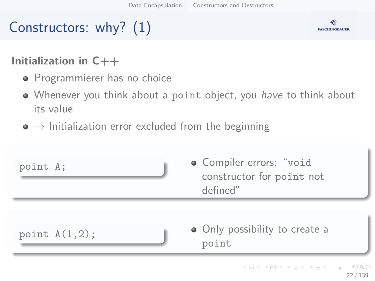# Constructors: why? (1)



#### Initialization in C++

- **•** Programmierer has no choice
- Whenever you think about a point object, you have to think about its value
- $\bullet \rightarrow$  Initialization error excluded from the beginning

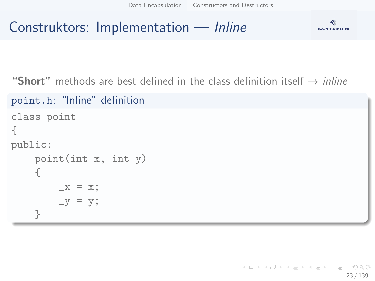# Construktors: Implementation — Inline



"Short" methods are best defined in the class definition itself  $\rightarrow$  *inline* 

```
point.h: "Inline" definition
class point
{
public:
     point(int x, int y)
     {
          \mathbf{x} = \mathbf{x};
          -y = y;}
```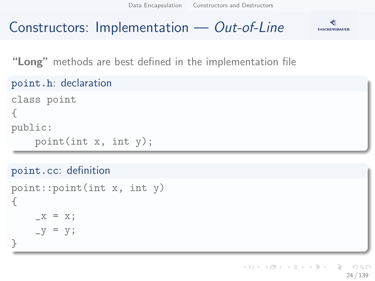[Data Encapsulation](#page-7-0) [Constructors and Destructors](#page-19-0)

## Constructors: Implementation — Out-of-Line



"Long" methods are best defined in the implementation file

```
point.h: declaration
```

```
class point
{
public:
    point(int x, int y);
```

```
point.cc: definition
```

```
point::point(int x, int y)
{
    -x = x;-y = y;}
```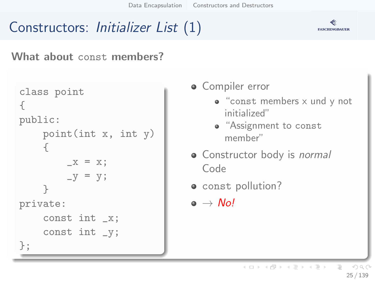[Data Encapsulation](#page-7-0) [Constructors and Destructors](#page-19-0)

## Constructors: Initializer List (1)



What about const members?

```
class point
{
public:
     point(int x, int y)
     {
          \mathbf{x} = \mathbf{x};
          -y = y;}
private:
     const int _x;
     const int _y;
};
```
**•** Compiler error

- "const members x und y not initialized"
- "Assignment to const member"
- Constructor body is normal Code
- const pollution?

 $\bullet \rightarrow$  No!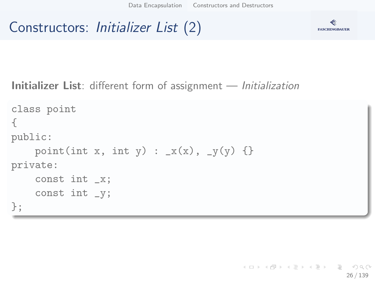## Constructors: Initializer List (2)



Initializer List: different form of assignment — *Initialization* 

```
class point
{
public:
    point(int x, int y) : _x(x), _y(y) {}
private:
    const int _x;
    const int _y;
};
```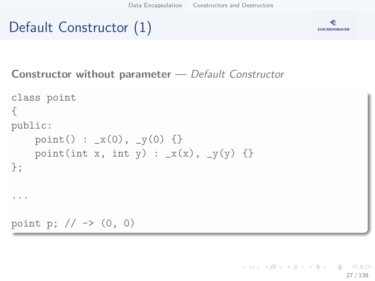# Default Constructor (1)



Constructor without parameter — Default Constructor

```
class point
{
public:
    point() : _x(0), _y(0) {}
    point(int x, int y) : x(x), y(y) {}
};
...
point p; // -> (0, 0)
```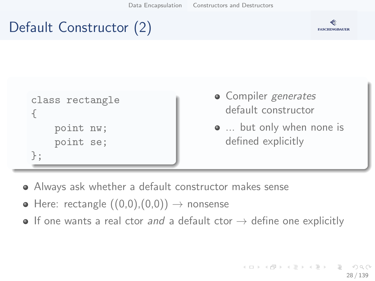## Default Constructor (2)



```
class rectangle
{
    point nw;
    point se;
};
```
- Compiler generates default constructor
- ... but only when none is defined explicitly

- Always ask whether a default constructor makes sense
- $\bullet$  Here: rectangle  $((0,0),(0,0)) \rightarrow$  nonsense
- $\bullet$  If one wants a real ctor and a default ctor  $\rightarrow$  define one explicitly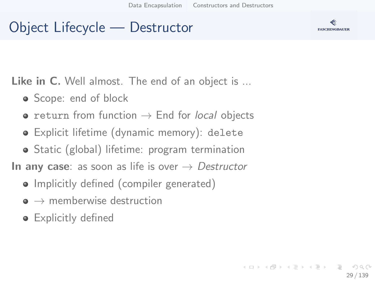## Object Lifecycle — Destructor

Like in C. Well almost. The end of an object is ...

- Scope: end of block
- return from function  $\rightarrow$  End for local objects
- Explicit lifetime (dynamic memory): delete
- Static (global) lifetime: program termination

In any case: as soon as life is over  $\rightarrow$  Destructor

- Implicitly defined (compiler generated)
- $\bullet \rightarrow$  memberwise destruction
- **•** Explicitly defined

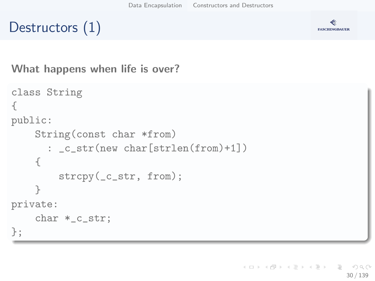## Destructors (1)



What happens when life is over?

```
class String
{
public:
    String(const char *from)
      : _c_str(new char[strlen(from)+1])
    {
        strcpy(_c_str, from);
    }
private:
    char *_c_str;
};
```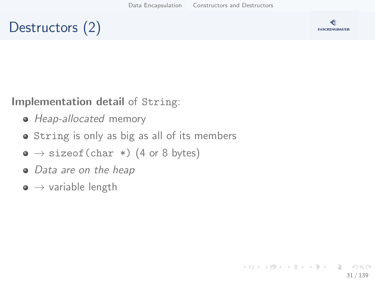## Destructors (2)



Implementation detail of String:

- Heap-allocated memory
- String is only as big as all of its members
- $\bullet \rightarrow$  sizeof(char \*) (4 or 8 bytes)
- Data are on the heap
- $\bullet \rightarrow$  variable length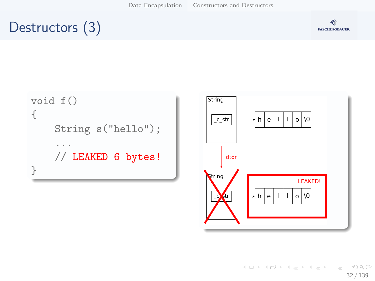## Destructors (3)







K ロ ▶ K 레 ▶ K 코 ▶ K 코 ▶ 『코 · 10 Q Q 32 / 139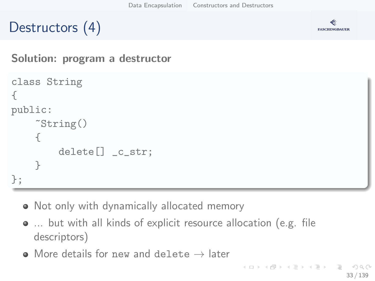## Destructors (4)



Solution: program a destructor

```
class String
{
public:
     \tilde{\text{String}}(){
          delete[] _c_str;
     }
};
```
- Not only with dynamically allocated memory
- ... but with all kinds of explicit resource allocation (e.g. file descriptors)
- $\bullet$  More details for new and delete  $\rightarrow$  later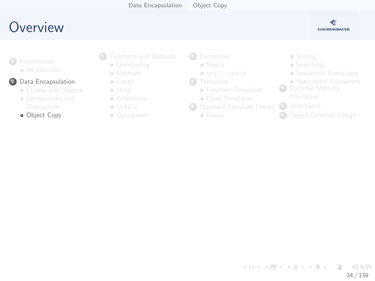[Data Encapsulation](#page-7-0) [Object Copy](#page-33-0)

### <span id="page-33-0"></span>**O[ve](#page-2-0)[rview](#page-3-0)**



**a** Int[roduction](#page-8-0)

#### 2 Data [Encapsulation](#page-19-0)

- **Classes and Objects**
- [Constructors and](#page-19-0)
- **·** Ob[ject Copy](#page-33-0)
- <sup>3</sup> [Fun](#page-7-0)ctions and Methods
	- **Overloading**
	- **•** Methods
	- const this
	- **•** References
	- static
	- Operatoren
- 4 [Except](#page-54-0)ions
	- **a** [B](#page-58-0)asics
	- $\bullet$  try  $-$  catch
- **6** [Templates](#page-61-0)
	- **Function Templates**
	- [Class T](#page-65-0)emplates
- <sup>6</sup> [Standard Temp](#page-68-0)late Library
	- **a** Basics
- Sorting
- **•** Searching
- Sequential C[ontainers](#page-92-0)
- **Associative C[ontainers](#page-96-0)**
- **7** Dynamic M[emory](#page-101-0)
	-
- 8 Inheritance
- **9 Object Oriente[d Design](#page-102-0)**

イロト イ部 トイモト イモト  $\equiv$  $\Omega$ 34 / 139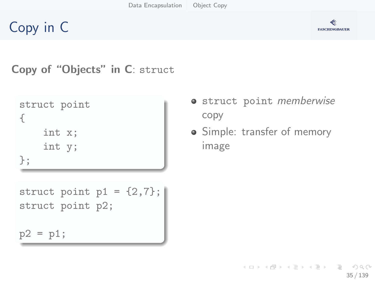



Copy of "Objects" in C: struct

```
struct point
{
    int x;
    int y;
};
```

```
struct point p1 = \{2, 7\};
struct point p2;
```
 $p2 = p1;$ 

- **•** struct point *memberwise* copy
- Simple: transfer of memory image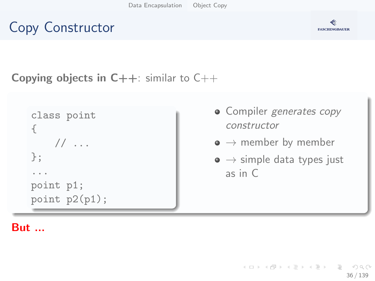



36 / 139

 $\equiv$  $\Omega$ 

#### **Copying objects in C++:** similar to  $C++$

```
class point
{
   // ...
};
...
point p1;
point p2(p1);
```
- Compiler generates copy constructor
- $\bullet \rightarrow$  member by member
- $\bullet \rightarrow$  simple data types just as in C

イロト イ部 トイモト イモト

#### But ...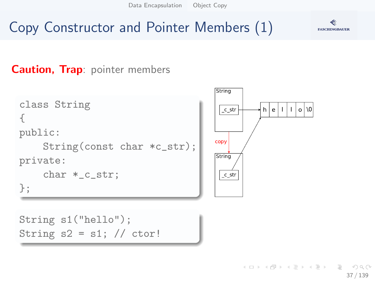[Data Encapsulation](#page-7-0) [Object Copy](#page-33-0)

# Copy Constructor and Pointer Members (1)



#### **Caution, Trap: pointer members**

```
class String
                                              c_str
{
public:
                                             copy
     String(const char *c_str);
                                             String
private:
     char *_c_str;
                                               c<sub>1</sub>str
};
```


```
String s1("hello");
String s2 = s1; // ctor!
```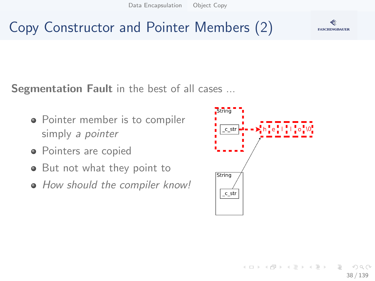# Copy Constructor and Pointer Members (2)

**FASCHINGBAUER** 

Segmentation Fault in the best of all cases ...

- Pointer member is to compiler simply a *pointer*
- Pointers are copied
- But not what they point to
- How should the compiler know!

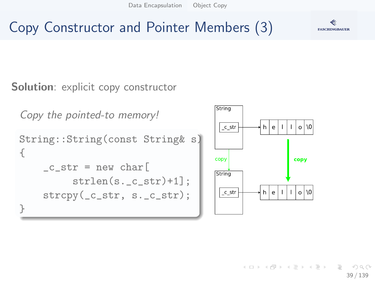[Data Encapsulation](#page-7-0) [Object Copy](#page-33-0)

Copy Constructor and Pointer Members (3)



Solution: explicit copy constructor

```
Copy the pointed-to memory!
String::String(const String& s)
{
    -c_str = new char[
         strlen(s. c str)+1];
    strcpy(_c_str, s._c_str);
}
```


イロト イ押 トイヨ トイヨト 39 / 139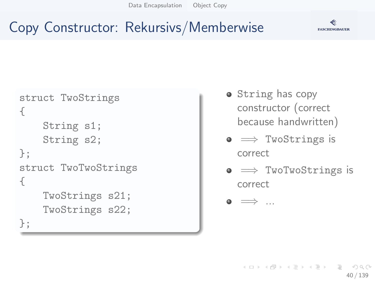[Data Encapsulation](#page-7-0) [Object Copy](#page-33-0)



# Copy Constructor: Rekursivs/Memberwise

```
struct TwoStrings
{
    String s1;
    String s2;
};
struct TwoTwoStrings
{
    TwoStrings s21;
    TwoStrings s22;
};
```
- String has copy constructor (correct because handwritten)
- $\bullet \implies$  TwoStrings is correct
- $\bullet \implies$  TwoTwoStrings is correct

 $\bullet \implies$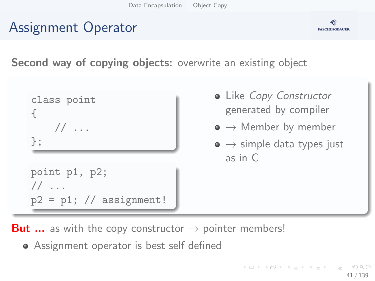# Assignment Operator



Second way of copying objects: overwrite an existing object



- Like Copy Constructor generated by compiler
- $\bullet \to$  Member by member
- $\bullet \rightarrow$  simple data types just as in C

**But ...** as with the copy constructor  $\rightarrow$  pointer members!

Assignment operator is best self defined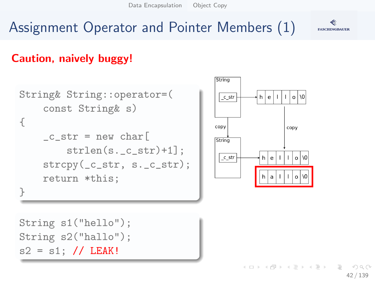[Data Encapsulation](#page-7-0) [Object Copy](#page-33-0)

# Assignment Operator and Pointer Members (1)

#### Caution, naively buggy!

```
String& String::operator=(
    const String& s)
{
    _c_str = new char
        strlen(s._c_str)+1];
    strcpy(_c_str, s._c_str);
    return *this;
}
```


String s1("hello"); String s2("hallo");  $s2 = s1$ ; // LEAK!

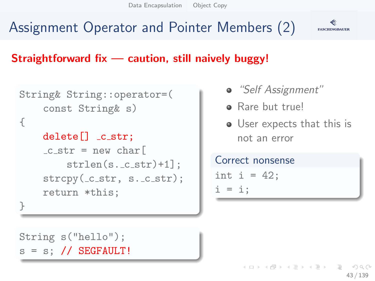# Assignment Operator and Pointer Members (2)



#### Straightforward fix  $-$  caution, still naively buggy!

```
String& String::operator=(
    const String& s)
{
    delete[] _cstr;-c_str = new char
        strlen(s._c_str)+1]:
    strcpy(\_c\_str, s.\_c\_str);return *this;
}
```

```
"Self Assignment"
```
- **a** Rare but truel
- User expects that this is not an error

Correct nonsense int  $i = 42$ ;  $i = i$ :

String s("hello");  $s = s$ ; // SEGFAULT!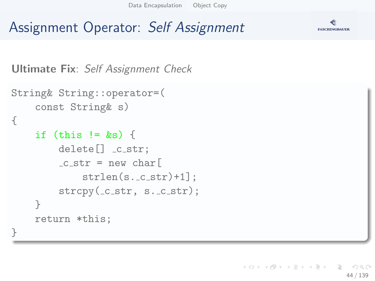[Data Encapsulation](#page-7-0) [Object Copy](#page-33-0)

#### **FASCHINGBAUER**

### Assignment Operator: Self Assignment

```
Ultimate Fix: Self Assignment Check
```

```
String& String::operator=(
    const String& s)
{
    if (this != ks) {
        delete[] -c_str;-c_str = new char
             strlen(s._c_str)+1];
        strcpy(\_c\_str, s.\_c\_str);}
    return *this;
}
```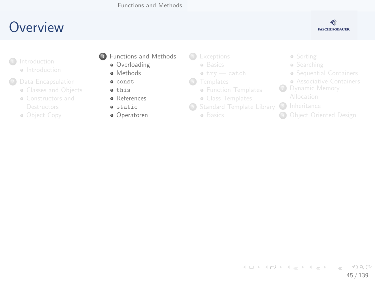

- <span id="page-44-0"></span>**a** Int[roduction](#page-8-0)
- <sup>2</sup> Data [Encapsulation](#page-19-0)
	- **Classes and Objects**
	- [Constructors and](#page-19-0)
	- Ob[ject Copy](#page-33-0)
- **3** [Fun](#page-7-0)ctions and Methods
	- **·** Overloading
	- **•** Methods
	- const  $\bullet$  this
	- **a** References
	- **a** static
	- Operatoren
- 4 [Except](#page-54-0)ions
	- **a** [B](#page-58-0)asics
	- $\bullet$  try  $-$  catch
- **6** [Templates](#page-61-0)
	- **Function Templates**
	- [Class T](#page-65-0)emplates
- <sup>6</sup> [Standard Temp](#page-68-0)late Library
	- **a** Basics
- Sorting
- **•** Searching
- Sequential C[ontainers](#page-92-0)
- **Associative C[ontainers](#page-96-0)**
- **7** Dynamic M[emory](#page-101-0)
	-
- 8 Inheritance
- **<sup>4</sup>** Object Oriente[d Design](#page-102-0)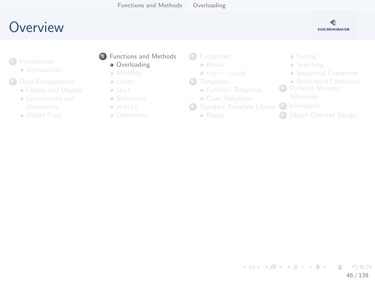

- <span id="page-45-0"></span>**a** Int[roduction](#page-8-0)
- <sup>2</sup> Data [Encapsulation](#page-19-0)
	- **Classes and Objects**
	- [Constructors and](#page-19-0)
	- Ob[ject Copy](#page-33-0)
- **3** [Fun](#page-7-0)ctions and Methods
	- **·** Overloading
	- **•** Methods
	- const this
	- References
	- static
	- Operatoren

4 [Except](#page-54-0)ions

- **a** [B](#page-58-0)asics
- $\bullet$  try  $-$  catch
- **6** [Templates](#page-61-0)
	- **Function Templates**
	- [Class T](#page-65-0)emplates
- <sup>6</sup> [Standard Temp](#page-68-0)late Library
	- **a** Basics
- Sorting
- **•** Searching
- Sequential C[ontainers](#page-92-0)
- **Associative C[ontainers](#page-96-0)**
- **7** Dynamic M[emory](#page-101-0)
	-
- 8 Inheritance
- **9 Object Oriente[d Design](#page-102-0)**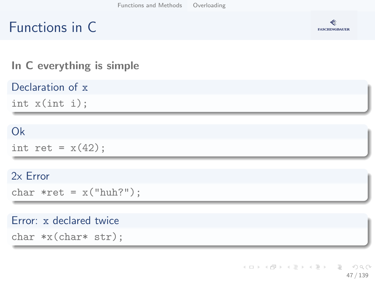# Functions in C



#### In C everything is simple

Declaration of x

int x(int i);

#### Ok

int ret =  $x(42)$ ;

#### 2x Error

char  $*ret = x("huh?");$ 

#### Error: x declared twice

char \*x(char\* str);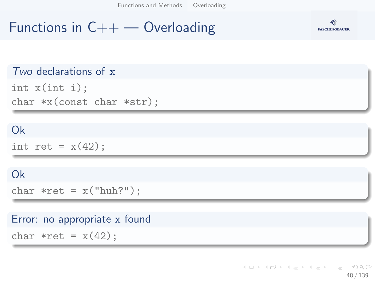[Functions and Methods](#page-44-0) [Overloading](#page-45-0)

#### Functions in  $C++$  — Overloading



#### Two declarations of x

int x(int i); char \*x(const char \*str);

#### Ok

int ret =  $x(42)$ :

#### Ok

char  $*ret = x("huh?")$ ;

#### Error: no appropriate x found

char  $*ret = x(42)$ ;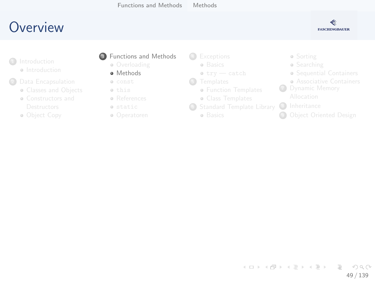

- <span id="page-48-0"></span>**a** Int[roduction](#page-8-0)
- <sup>2</sup> Data [Encapsulation](#page-19-0)
	- **Classes and Objects**
	- [Constructors and](#page-19-0)
	- Ob[ject Copy](#page-33-0)

#### **3** [Fun](#page-7-0)ctions and Methods

- **Overloading**
- **•** Methods
- const this
- References
- static
- Operatoren
- 4 [Except](#page-54-0)ions
	- **a** [B](#page-58-0)asics
	- $\bullet$  try  $-$  catch
- **6** [Templates](#page-61-0)
	- **Function Templates**
	- [Class T](#page-65-0)emplates
- <sup>6</sup> [Standard Temp](#page-68-0)late Library
	- **a** Basics
- Sorting
- **•** Searching
- Sequential C[ontainers](#page-92-0)
- **Associative C[ontainers](#page-96-0)**
- **7** Dynamic M[emory](#page-101-0)
	-
- 8 Inheritance
- **<sup>4</sup>** Object Oriente[d Design](#page-102-0)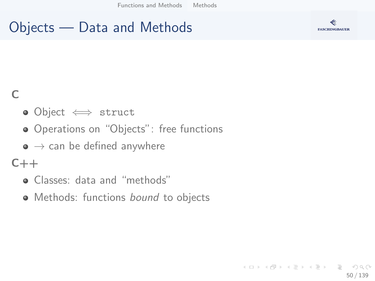# Objects — Data and Methods



#### $\subset$

- Object ⇐⇒ struct
- Operations on "Objects": free functions
- $\bullet \rightarrow$  can be defined anywhere

#### $C++$

- Classes: data and "methods"
- Methods: functions bound to objects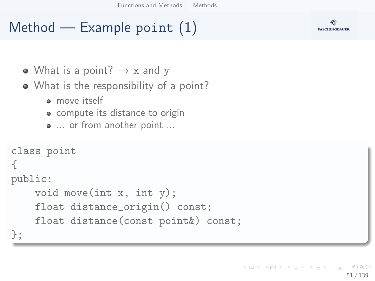# Method  $-$  Example point  $(1)$



- What is a point?  $\rightarrow$  x and y
- What is the responsibility of a point?
	- **a** move itself
	- compute its distance to origin
	- ... or from another point ...

```
class point
{
public:
    void move(int x, int y);
    float distance_origin() const;
    float distance(const point&) const;
};
```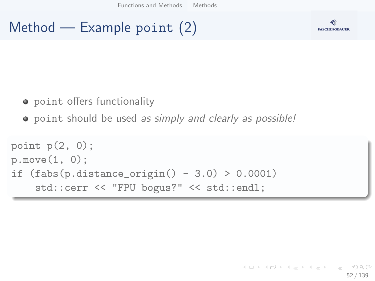# Method — Example point (2)



- **•** point offers functionality
- point should be used as simply and clearly as possible!

```
point p(2, 0);
p.move(1, 0);
if (fabs(p.distance\_origin() - 3.0) > 0.0001)std::cerr << "FPU bogus?" << std::endl;
```
#### K ロ ) - K (ラ ) - K (ミ ) - K (ミ ) - ( ) () 52 / 139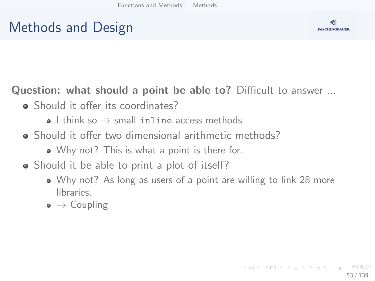# Methods and Design



Question: what should a point be able to? Difficult to answer ...

- Should it offer its coordinates?
	- $\bullet$  I think so  $\rightarrow$  small inline access methods
- Should it offer two dimensional arithmetic methods?
	- Why not? This is what a point is there for.
- Should it be able to print a plot of itself?
	- Why not? As long as users of a point are willing to link 28 more libraries.
	- $\bullet \to$  Coupling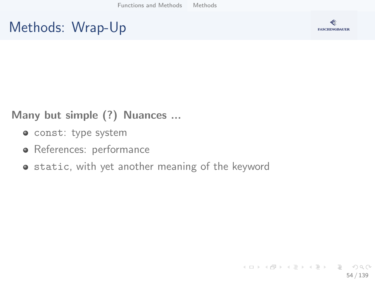# Methods: Wrap-Up



#### Many but simple (?) Nuances ...

- const: type system
- References: performance
- static, with yet another meaning of the keyword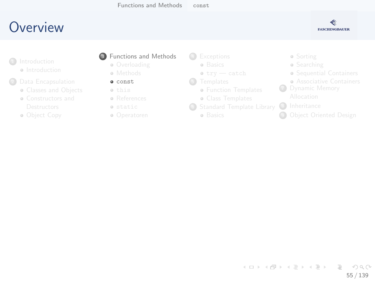

- <span id="page-54-0"></span>**a** Int[roduction](#page-8-0)
- <sup>2</sup> Data [Encapsulation](#page-19-0)
	- **Classes and Objects**
	- [Constructors and](#page-19-0)
	- Ob[ject Copy](#page-33-0)

#### **3** [Fun](#page-7-0)ctions and Methods

- **Overloading**
- **•** Methods
- $\bullet$  const this
- References
- static
- Operatoren

4 [Except](#page-54-0)ions

- **a** [B](#page-58-0)asics
- $\bullet$  try  $-$  catch
- **6** [Templates](#page-61-0)
	- **Function Templates**
	- [Class T](#page-65-0)emplates
- <sup>6</sup> [Standard Temp](#page-68-0)late Library
	- **a** Basics
- Sorting
- **•** Searching
- Sequential C[ontainers](#page-92-0)
- **Associative C[ontainers](#page-96-0)**
- **7** Dynamic M[emory](#page-101-0)
	-
- 8 Inheritance
- **<sup>4</sup>** Object Oriente[d Design](#page-102-0)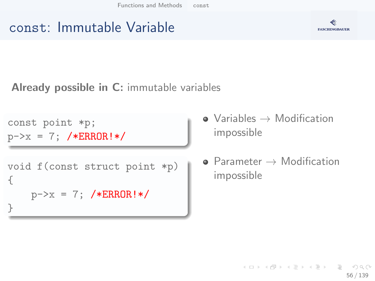### const: Immutable Variable



Already possible in C: immutable variables

const point \*p;  $p->x = 7$ ; /\*ERROR!\*/

```
void f(const struct point *p)
{
   p->x = 7; /*ERROR!*/
}
```
- $\bullet$  Variables  $\rightarrow$  Modification impossible
- $\bullet$  Parameter  $\rightarrow$  Modification impossible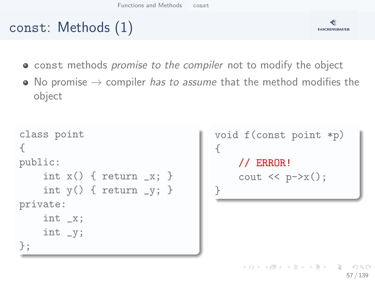# const: Methods (1)



- **•** const methods *promise to the compiler* not to modify the object
- No promise  $\rightarrow$  compiler *has to assume* that the method modifies the object

```
class point
{
public:
    int x() \{ return \ x; \}int y() \{ return y; \}private:
    int _x;
    int _y;
};
```

```
void f(const point *p)
{
     // ERROR!
     cout \langle p - \ranglex();
}
```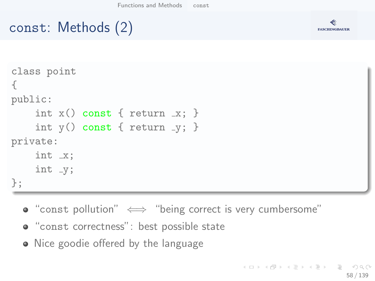# const: Methods (2)



```
class point
{
public:
    int x() const \{ return x: \}int y() const { return -y; }
private:
    int _x;
    int_{-y};
};
```
- "const pollution"  $\iff$  "being correct is very cumbersome"
- "const correctness": best possible state
- Nice goodie offered by the language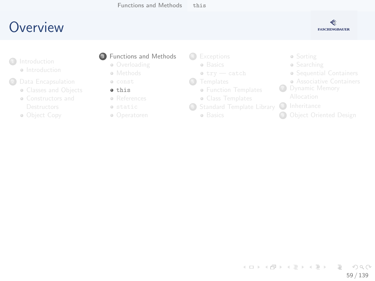

- <span id="page-58-0"></span>**a** Int[roduction](#page-8-0)
- <sup>2</sup> Data [Encapsulation](#page-19-0)
	- **Classes and Objects**
	- [Constructors and](#page-19-0)
	- Ob[ject Copy](#page-33-0)
- **3** [Fun](#page-7-0)ctions and Methods
	- **Overloading**
	- **•** Methods
	- const  $\bullet$  this
	- References
	- static
	- Operatoren

4 [Except](#page-54-0)ions

- **a** [B](#page-58-0)asics
- $\bullet$  try  $-$  catch
- **6** [Templates](#page-61-0)
	- **Function Templates**
	- [Class T](#page-65-0)emplates
- <sup>6</sup> [Standard Temp](#page-68-0)late Library
	- **a** Basics
- Sorting
- **•** Searching
- Sequential C[ontainers](#page-92-0)
- **Associative C[ontainers](#page-96-0)**
- **7** Dynamic M[emory](#page-101-0)
	-
- 8 Inheritance
- **<sup>4</sup>** Object Oriente[d Design](#page-102-0)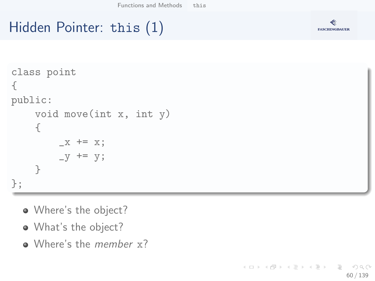### **FASCHINGBAUER**

# Hidden Pointer: this (1)

```
class point
{
public:
    void move(int x, int y)
    {
        -x += x;
        -y += y;
    }
};
```
- Where's the object?
- What's the object?
- Where's the *member* x?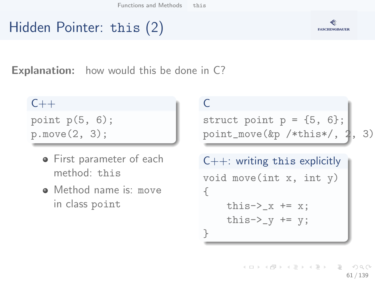# Hidden Pointer: this (2)



**Explanation:** how would this be done in C?

 $C++$ 

point  $p(5, 6)$ ; p.move(2, 3);

- **•** First parameter of each method: this
- Method name is: move in class point

 $\subset$ 

struct point  $p = \{5, 6\}$ ; point\_move( $&$ p /\*this\*/, 2, 3)

```
C++: writing this explicitly
void move(int x, int y)
{
    this->_x += x;this->_V += v;
}
```
イロト イ団 トイミト イミト  $\equiv$  $\Omega$ 61 / 139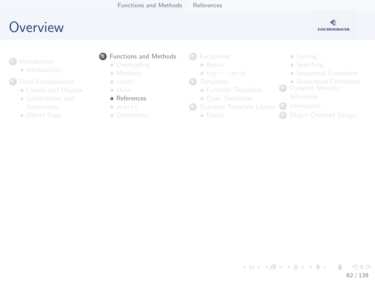

- <span id="page-61-0"></span>**a** Int[roduction](#page-8-0)
- <sup>2</sup> Data [Encapsulation](#page-19-0)
	- **Classes and Objects**
	- [Constructors and](#page-19-0)
	- Ob[ject Copy](#page-33-0)

#### **3** [Fun](#page-7-0)ctions and Methods

- **Overloading**
- **•** Methods
- const this
- **a** References
- static
- Operatoren

4 [Except](#page-54-0)ions

- **a** [B](#page-58-0)asics
- $\bullet$  try  $-$  catch
- **6** [Templates](#page-61-0)
	- **Function Templates**
	- [Class T](#page-65-0)emplates
- <sup>6</sup> [Standard Temp](#page-68-0)late Library
	- **a** Basics
- Sorting
- **•** Searching
- Sequential C[ontainers](#page-92-0)
- **Associative C[ontainers](#page-96-0)**
- **7** Dynamic M[emory](#page-101-0)
	-
- 8 Inheritance
- **9 Object Oriente[d Design](#page-102-0)**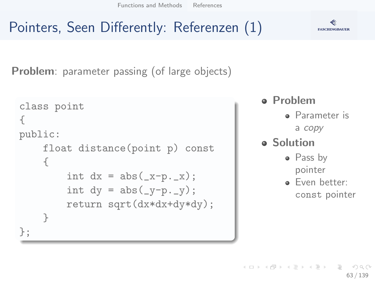[Functions and Methods](#page-44-0) [References](#page-61-0)

# Pointers, Seen Differently: Referenzen (1)

Problem: parameter passing (of large objects)

```
class point
{
public:
     float distance(point p) const
     {
          int dx = abs(\underline{x}-p,\underline{x});
          int dy = abs(\ny-p,\ny);return sqrt(dx*dx+dy*dy);
    }
};
```
#### Problem

- **•** Parameter is a copy
- **a** Solution
	- Pass by pointer
	- **P** Fyen better: const pointer



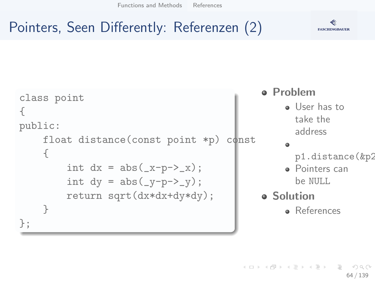[Functions and Methods](#page-44-0) [References](#page-61-0)



# Pointers, Seen Differently: Referenzen (2)

```
class point
{
public:
    float distance(const point *p) const
    {
         int dx = abs(\_x-p->x);int dy = abs(\_y-p-\frac{y}{y});return sqrt(dx*dx+dy*dy);
    }
};
```
# Problem

o User has to take the address

#### ٠

- p1.distance(&p2)
- **•** Pointers can be NULL
- **o** Solution **A** References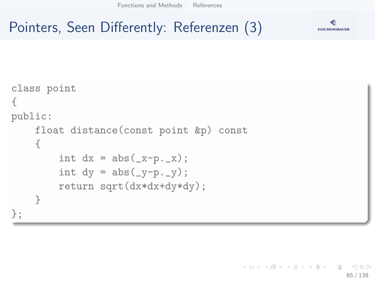[Functions and Methods](#page-44-0) [References](#page-61-0)



# Pointers, Seen Differently: Referenzen (3)

```
class point
{
public:
    float distance(const point &p) const
    {
         int dx = abs(\_\text{x-p.\_\text{x}});int dy = abs(\ny-p.\ny);
         return sqrt(dx*dx+dy*dy);
    }
};
```
K ロ ) - K (ラ ) - K (ミ ) - K (ミ ) - ( ) ()  $\Omega$ 65 / 139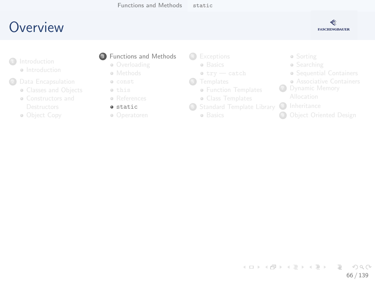

- <span id="page-65-0"></span>**a** Int[roduction](#page-8-0)
- <sup>2</sup> Data [Encapsulation](#page-19-0)
	- **Classes and Objects**
	- [Constructors and](#page-19-0)
	- Ob[ject Copy](#page-33-0)

#### **3** [Fun](#page-7-0)ctions and Methods

- **Overloading**
- **•** Methods
- const this
- References
- **a** static
- Operatoren

4 [Except](#page-54-0)ions

- **a** [B](#page-58-0)asics
- $\bullet$  try  $-$  catch
- **6** [Templates](#page-61-0)
	- **Function Templates**
	- [Class T](#page-65-0)emplates
- <sup>6</sup> [Standard Temp](#page-68-0)late Library
	- **a** Basics
- Sorting
- **•** Searching
- Sequential C[ontainers](#page-92-0)
- **Associative C[ontainers](#page-96-0)**
- **7** Dynamic M[emory](#page-101-0)
	-
- 8 Inheritance
- **9 Object Oriente[d Design](#page-102-0)**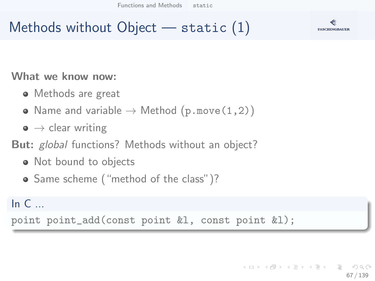[Functions and Methods](#page-44-0) [static](#page-65-0)



### Methods without Object — static (1)

#### What we know now:

- Methods are great
- Name and variable  $\rightarrow$  Method (p.move(1,2))
- $\bullet \rightarrow$  clear writing
- **But:** global functions? Methods without an object?
	- Not bound to objects
	- Same scheme ("method of the class")?

#### In  $C_{\cdots}$

point point\_add(const point &l, const point &l);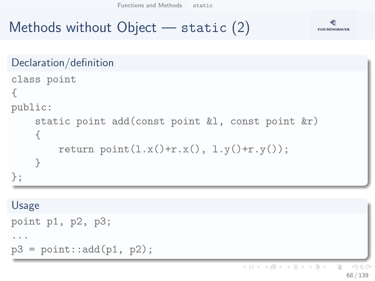[Functions and Methods](#page-44-0) [static](#page-65-0)



# Methods without Object — static (2)

```
Declaration/definition
class point
{
public:
    static point add(const point &l, const point &r)
    {
         return point(1.x() + r.x(), 1.y() + r.y());
    }
};
```
#### Usage

```
point p1, p2, p3;
...
p3 = point::add(p1, p2);
```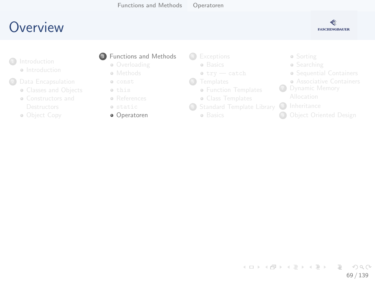

- <span id="page-68-0"></span>**a** Int[roduction](#page-8-0)
- <sup>2</sup> Data [Encapsulation](#page-19-0)
	- **Classes and Objects**
	- [Constructors and](#page-19-0)
	- Ob[ject Copy](#page-33-0)

#### **3** [Fun](#page-7-0)ctions and Methods

- **Overloading**
- **•** Methods
- const this
- References
- static
- Operatoren
- 4 [Except](#page-54-0)ions
	- **a** [B](#page-58-0)asics
	- $\bullet$  try  $-$  catch
- **6** [Templates](#page-61-0)
	- **Function Templates**
	- [Class T](#page-65-0)emplates
- <sup>6</sup> [Standard Temp](#page-68-0)late Library
	- **a** Basics
- Sorting
- **•** Searching
- Sequential C[ontainers](#page-92-0)
- **Associative C[ontainers](#page-96-0)**
- **7** Dynamic M[emory](#page-101-0)
	-
- 8 Inheritance
- **<sup>4</sup>** Object Oriente[d Design](#page-102-0)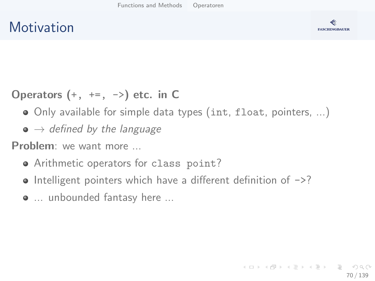#### **Motivation**



Operators  $(+, +=, -)$  etc. in C

- Only available for simple data types (int, float, pointers, ...)
- $\bullet \to$  defined by the language

Problem: we want more ...

- Arithmetic operators for class point?
- $\bullet$  Intelligent pointers which have a different definition of  $\rightarrow$ ?
- ... unbounded fantasy here ...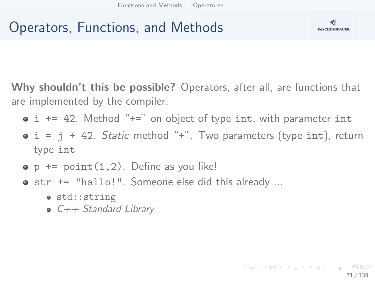# Operators, Functions, and Methods



Why shouldn't this be possible? Operators, after all, are functions that are implemented by the compiler.

- $\bullet$  i += 42. Method "+=" on object of type int, with parameter int
- $\bullet$  i = j + 42. Static method "+". Two parameters (type int), return type int
- $\bullet$  p  $+=$  point  $(1,2)$ . Define as you like!
- str += "hallo!". Someone else did this already ...
	- o std::string
	- $\bullet$  C++ Standard Library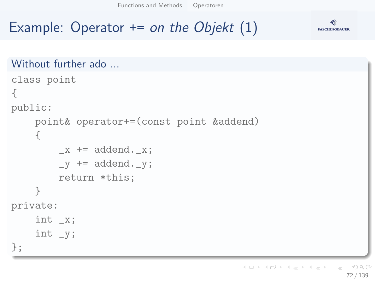[Functions and Methods](#page-44-0) [Operatoren](#page-68-0)



## Example: Operator  $+=$  on the Objekt  $(1)$

```
Without further ado
```

```
class point
{
public:
    point& operator+=(const point &addend)
    {
        x \neq addend. x:
        -y += addend. -y;
        return *this;
    }
private:
    int _x;
    int _y;
};
```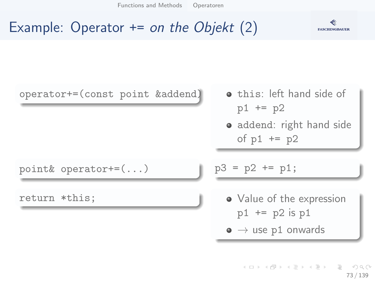

#### Example: Operator  $+=$  on the Objekt  $(2)$

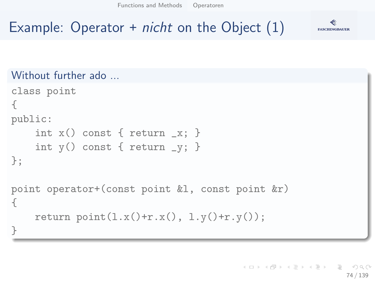#### Example: Operator  $+$  *nicht* on the Object  $(1)$



#### Without further ado ...

```
class point
{
public:
    int x() const { return -x; }
    int y() const { return -y; }
};
point operator+(const point &l, const point &r)
{
    return point(1.x() + r.x(), 1.y() + r.y());
}
```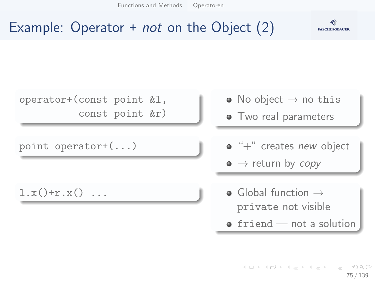

#### Example: Operator  $+$  *not* on the Object  $(2)$



- private not visible
- $\bullet$  friend  $-$  not a solution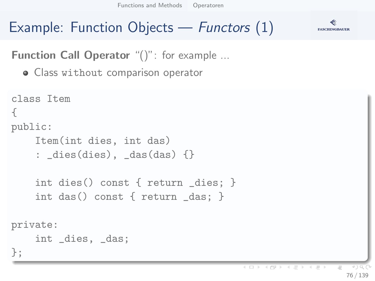# Example: Function Objects — Functors (1)



**Function Call Operator** "()": for example ...

Class without comparison operator

```
class Item
{
public:
    Item(int dies, int das)
    : _dies(dies), _das(das) {}
    int dies() const { return _dies; }
    int das() const { return _das; }
private:
    int _dies, _das;
};
```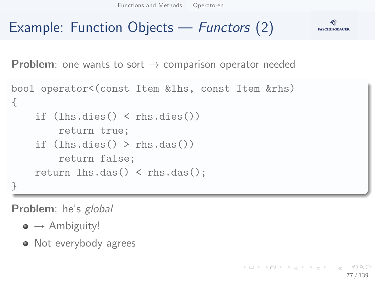#### Example: Function Objects — Functors (2) **FASCHINGBAUER**

**Problem**: one wants to sort  $\rightarrow$  comparison operator needed

```
bool operator<(const Item &lhs, const Item &rhs)
{
    if (lhs.dies() < rhs.dies())
        return true;
    if (lhs.dies() > rhs.das())return false;
    return lhs.das() < rhs.das();
}
```
Problem: he's global

- $\bullet \to$  Ambiguity!
- Not everybody agrees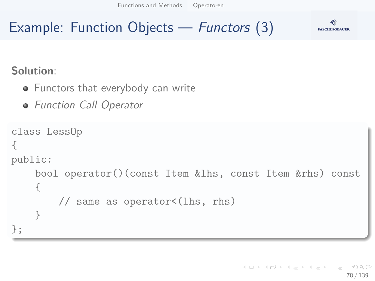### Example: Function Objects — Functors (3)



Solution:

- **•** Functors that everybody can write
- **•** Function Call Operator

```
class LessOp
{
public:
    bool operator()(const Item &lhs, const Item &rhs) const
    {
        // same as operator<(lhs, rhs)
    }
};
```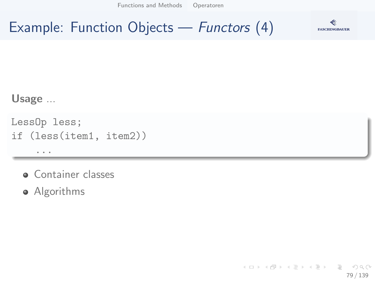## Example: Function Objects — Functors (4)



#### Usage ...

LessOp less; if (less(item1, item2)) ...

- **Container classes**
- Algorithms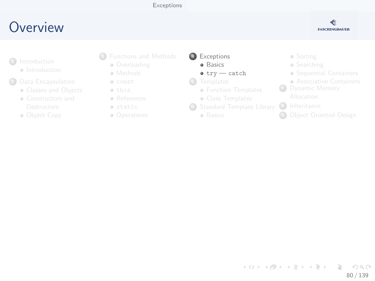#### [Exceptions](#page-79-0)

#### <span id="page-79-0"></span>**O[ve](#page-2-0)[rview](#page-3-0)**



- **a** Int[roduction](#page-8-0)
- <sup>2</sup> Data [Encapsulation](#page-19-0)
	- **Classes and Objects**
	- [Constructors and](#page-19-0)
	- Ob[ject Copy](#page-33-0)
- <sup>3</sup> [Fun](#page-7-0)ctions and Methods
	- **·** Overloading
	- **•** Methods
	- const this
	- **a** References
	- static
	- Operatoren

4 [Except](#page-54-0)ions

- **a** [B](#page-58-0)asics
- $\bullet$  try  $-$  catch
- **6** [Templates](#page-61-0)
	- **Function Templates**
	- [Class T](#page-65-0)emplates
- <sup>6</sup> [Standard Temp](#page-68-0)late Library
	- **a** Basics
- Sorting
- **•** Searching
- Sequential C[ontainers](#page-92-0)
- **Associative C[ontainers](#page-96-0)**
- **7** Dynamic M[emory](#page-101-0)
	-
- 8 Inheritance
- **<sup>4</sup>** Object Oriente[d Design](#page-102-0)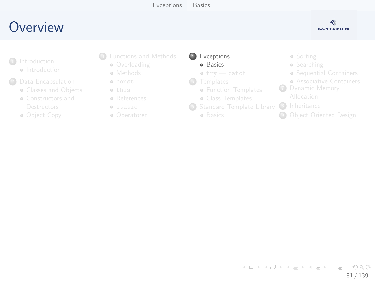[Exceptions](#page-79-0) [Basics](#page-80-0)

#### <span id="page-80-0"></span>**O[ve](#page-2-0)[rview](#page-3-0)**



- **a** Int[roduction](#page-8-0)
- <sup>2</sup> Data [Encapsulation](#page-19-0)
	- **Classes and Objects**
	- [Constructors and](#page-19-0)
	- Ob[ject Copy](#page-33-0)
- <sup>3</sup> [Fun](#page-7-0)ctions and Methods
	- **·** Overloading
	- **•** Methods
	- const this
	- References
	- static
	- Operatoren

4 [Except](#page-54-0)ions

- **a** [B](#page-58-0)asics
- $\bullet$  try  $-$  catch
- **6** [Templates](#page-61-0)
	- **Function Templates**
	- [Class T](#page-65-0)emplates
- <sup>6</sup> [Standard Temp](#page-68-0)late Library
	- **a** Basics
- Sorting
- **•** Searching
- Sequential C[ontainers](#page-92-0)
- **Associative C[ontainers](#page-96-0)**
- **7** Dynamic M[emory](#page-101-0)
	-
- 8 Inheritance
- **9 Object Oriente[d Design](#page-102-0)**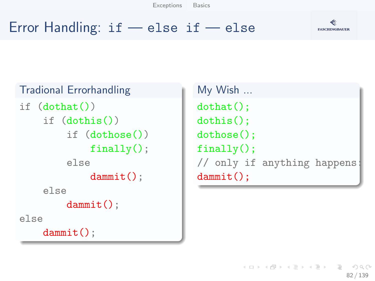[Exceptions](#page-79-0) [Basics](#page-80-0)

#### **FASCHINGBAUER**

#### Error Handling: if — else if — else

```
Tradional Errorhandling
if (dothat()if (dothis())
        if (dothose())
             finally():
        else
             dammit();
    else
        dammit();
else
    dammit();
```

```
My Wish ...
dothat();
dothis():
dothose();
finally();
// only if anything happens:
dammit();
```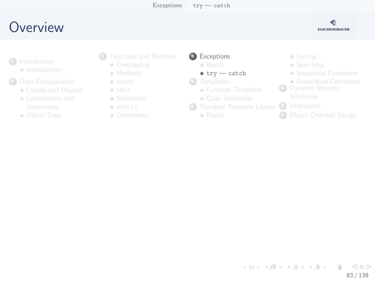#### <span id="page-82-0"></span>**O[ve](#page-2-0)[rview](#page-3-0)**



- **a** Int[roduction](#page-8-0)
- <sup>2</sup> Data [Encapsulation](#page-19-0)
	- **Classes and Objects**
	- [Constructors and](#page-19-0)
	- Ob[ject Copy](#page-33-0)
- <sup>3</sup> [Fun](#page-7-0)ctions and Methods
	- **·** Overloading
	- **•** Methods
	- const this
	- References
	- static
	- Operatoren

4 [Except](#page-54-0)ions

- a Rasics
- $\bullet$  try  $-$  catch
- **6** [Templates](#page-61-0)
	- **Function Templates**
	- [Class T](#page-65-0)emplates
- <sup>6</sup> [Standard Temp](#page-68-0)late Library
	- **a** Basics
- Sorting
- **•** Searching
- Sequential C[ontainers](#page-92-0)
- **Associative C[ontainers](#page-96-0)**
- **7** Dynamic M[emory](#page-101-0)
	-
- 8 Inheritance
- **9 Object Oriente[d Design](#page-102-0)**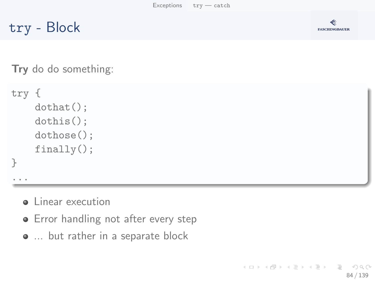try - Block



Try do do something:

```
try {
    dothat();
    dothis();
    dothose();
    finally();
}
```
...

- **o** Linear execution
- **•** Error handling not after every step
- ... but rather in a separate block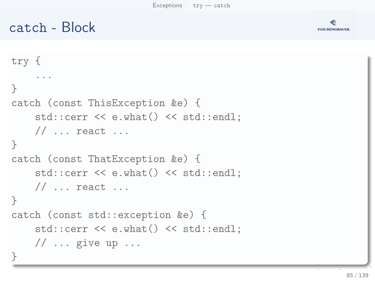#### catch - Block



```
try {
    ...
}
catch (const ThisException &e) {
    std::cerr << e.what() << std::endl;
    // ... react ...
}
catch (const ThatException &e) {
    std::cerr << e.what() << std::endl;
    // \dots react \dots}
catch (const std::exception &e) {
    std::cerr << e.what() << std::endl;
    // \dots give up \dots}
```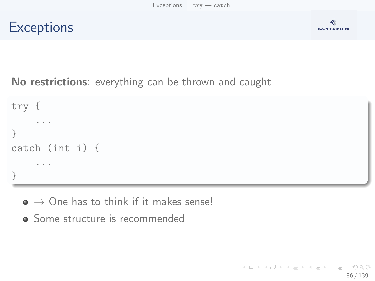



No restrictions: everything can be thrown and caught

```
try {
     ...
}
catch (int i) {
     ...
}
```
 $\bullet \rightarrow$  One has to think if it makes sense!

• Some structure is recommended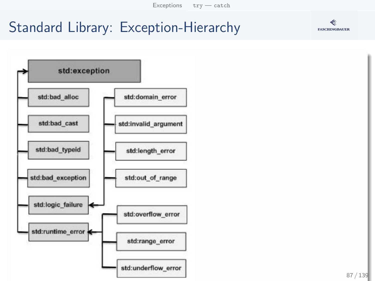# Standard Library: Exception-Hierarchy



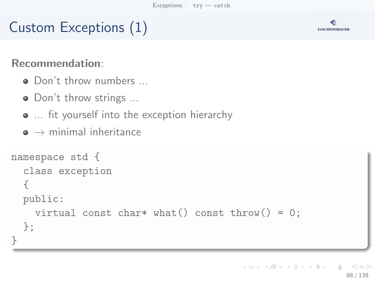# Custom Exceptions (1)



#### Recommendation:

- Don't throw numbers ...
- Don't throw strings ...
- ... fit yourself into the exception hierarchy
- $\bullet \rightarrow$  minimal inheritance

```
namespace std {
  class exception
  {
  public:
    virtual const char* what() const throw() = 0;
  };
}
```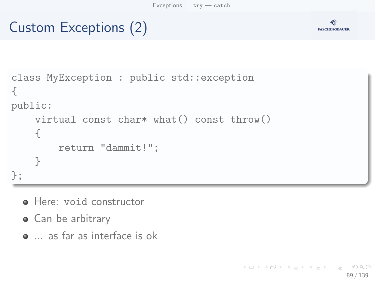# Custom Exceptions (2)



```
class MyException : public std::exception
{
public:
    virtual const char* what() const throw()
    {
        return "dammit!";
    }
};
```
- **e** Here: void constructor
- Can be arbitrary
- ... as far as interface is ok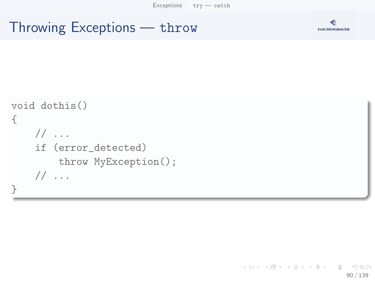#### Throwing Exceptions — throw



```
void dothis()
{
    // ...
    if (error_detected)
        throw MyException();
    // ...
}
```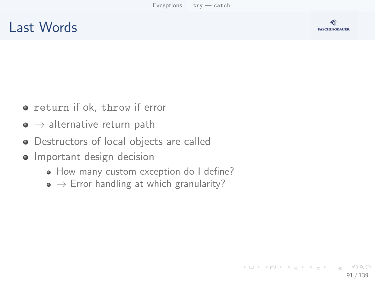#### Last Words



- **•** return if ok, throw if error
- $\bullet \rightarrow$  alternative return path
- Destructors of local objects are called
- Important design decision
	- How many custom exception do I define?
	- $\bullet \rightarrow$  Error handling at which granularity?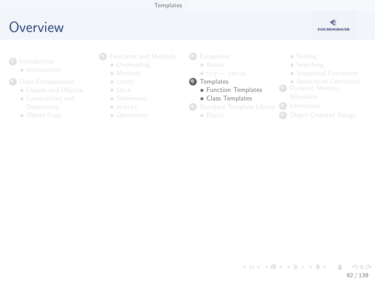#### [Templates](#page-91-0)

#### <span id="page-91-0"></span>**O[ve](#page-2-0)[rview](#page-3-0)**



- **a** Int[roduction](#page-8-0)
- <sup>2</sup> Data [Encapsulation](#page-19-0)
	- **Classes and Objects**
	- [Constructors and](#page-19-0)
	- Ob[ject Copy](#page-33-0)
- <sup>3</sup> [Fun](#page-7-0)ctions and Methods
	- **Overloading**
	- **•** Methods
	- const this
	- References
	- static
	- Operatoren

4 [Except](#page-54-0)ions **a** [B](#page-58-0)asics  $\bullet$  try  $-$  catch **5** [Templates](#page-61-0)

- **·** Function Templates
- **·** [Class T](#page-65-0)emplates
- <sup>6</sup> [Standard Temp](#page-68-0)late Library
	- **a** Basics

Sorting

- **•** Searching
- Sequential C[ontainers](#page-92-0)
- **Associative C[ontainers](#page-96-0)**
- **7** Dynamic M[emory](#page-101-0)

- 8 Inheritance
- **9 Object Oriente[d Design](#page-102-0)**

イロト イ部 トイヨ トイヨト  $\equiv$  $OQ$ 92 / 139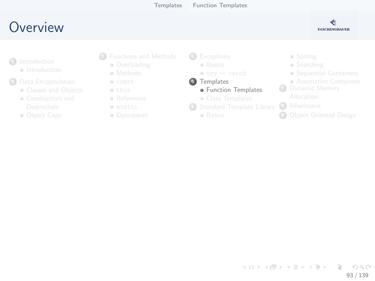#### <span id="page-92-0"></span>**O[ve](#page-2-0)[rview](#page-3-0)**



- **a** Int[roduction](#page-8-0)
- <sup>2</sup> Data [Encapsulation](#page-19-0)
	- **Classes and Objects**
	- [Constructors and](#page-19-0)
	- Ob[ject Copy](#page-33-0)
- <sup>3</sup> [Fun](#page-7-0)ctions and Methods
	- **Overloading**
	- **•** Methods
	- const this
	- References
	- static
	- Operatoren

4 [Except](#page-54-0)ions **a** [B](#page-58-0)asics  $\bullet$  try  $-$  catch

- **5** [Templates](#page-61-0)
	- **·** Function Templates
	- [Class T](#page-65-0)emplates
- <sup>6</sup> [Standard Temp](#page-68-0)late Library
	- **a** Basics
- Sorting
- **•** Searching
- Sequential C[ontainers](#page-92-0)
- **Associative C[ontainers](#page-96-0)**
- **7** Dynamic M[emory](#page-101-0)
	-
- 8 Inheritance
- **9 Object Oriente[d Design](#page-102-0)**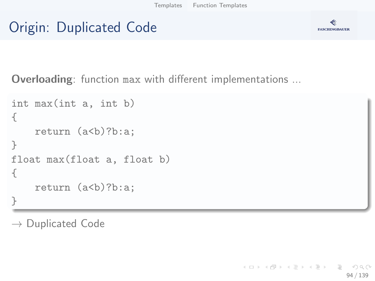### Origin: Duplicated Code



Overloading: function max with different implementations ...

```
int max(int a, int b)
{
    return (a<br/>b)?b:a;
}
float max(float a, float b)
{
    return (a<br/>b)?b:a;
}
```
 $\rightarrow$  Duplicated Code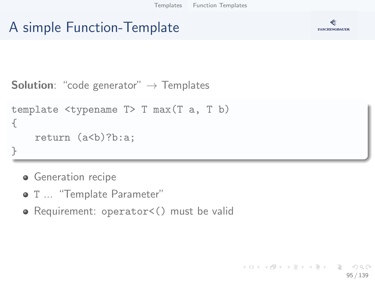#### A simple Function-Template



```
Solution: "code generator" \rightarrow Templates
```

```
template <typename T> T max(T a, T b)
{
    return (a<br/>b)?b:a;
}
```
- **Generation recipe**
- $\bullet$  T ... "Template Parameter"
- Requirement: operator<() must be valid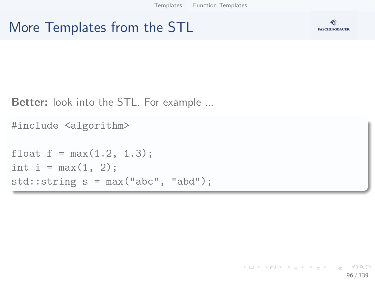#### More Templates from the STL



**Better:** look into the STL. For example ...

```
#include <algorithm>
```

```
float f = max(1.2, 1.3);
int i = max(1, 2);
std::string s = max("abc", "abd");
```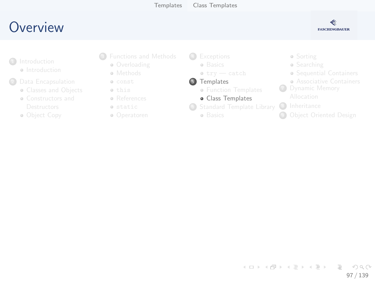#### <span id="page-96-0"></span>**O[ve](#page-2-0)[rview](#page-3-0)**



- **a** Int[roduction](#page-8-0)
- <sup>2</sup> Data [Encapsulation](#page-19-0)
	- **Classes and Objects**
	- [Constructors and](#page-19-0)
	- Ob[ject Copy](#page-33-0)
- <sup>3</sup> [Fun](#page-7-0)ctions and Methods
	- **Overloading**
	- **•** Methods
	- const this
	- **•** References
	- static
	- Operatoren

4 [Except](#page-54-0)ions **a** [B](#page-58-0)asics

- $\bullet$  try  $-$  catch
- **5** [Templates](#page-61-0)
	- **Function Templates**
	- **·** [Class T](#page-65-0)emplates
- **6** [Standard Temp](#page-68-0)late Library
	- **a** Basics
- Sorting
- **•** Searching
- Sequential C[ontainers](#page-92-0)
- **Associative C[ontainers](#page-96-0)**
- **7** Dynamic M[emory](#page-101-0)
	-
- 8 Inheritance
- **9 Object Oriente[d Design](#page-102-0)**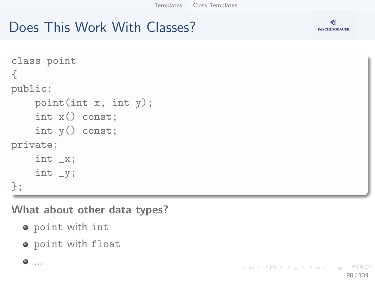### Does This Work With Classes?



What about other data types?

- point with int
- o point with float



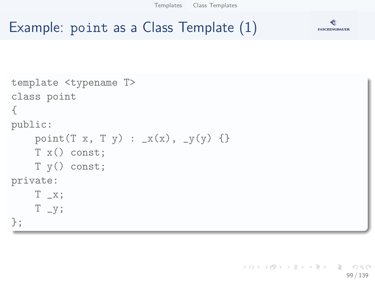[Templates](#page-91-0) [Class Templates](#page-96-0)

≪ **FASCHINGBAUER** 

#### Example: point as a Class Template (1)

```
template <typename T>
class point
{
public:
    point (T x, T y) : x(x), y(y) \}T x() const;
    T y() const;
private:
    T_{-X};
    T - y;};
```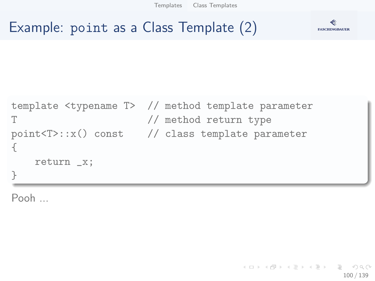[Templates](#page-91-0) [Class Templates](#page-96-0)





#### Example: point as a Class Template (2)

```
template <typename T> // method template parameter
T // method return type
point<T>::x() const // class template parameter
{
   return _x;
}
```
Pooh ...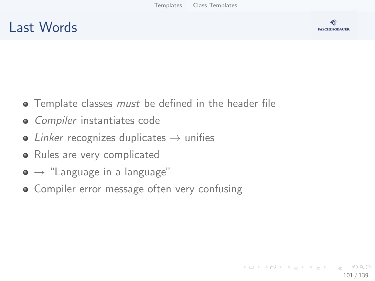#### Last Words



- **•** Template classes *must* be defined in the header file
- Compiler instantiates code
- $\bullet$  Linker recognizes duplicates  $\rightarrow$  unifies
- Rules are very complicated
- $\bullet \rightarrow$  "Language in a language"
- Compiler error message often very confusing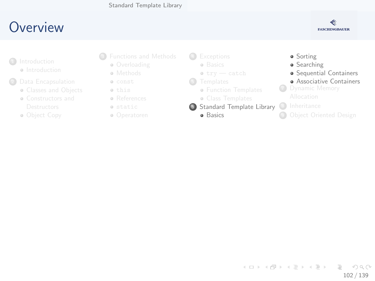#### <span id="page-101-0"></span>**O[ve](#page-2-0)[rview](#page-3-0)**



- **a** Int[roduction](#page-8-0)
- - **Classes and Objects**
	- [Constructors and](#page-19-0)
	- Ob[ject Copy](#page-33-0)
- <sup>3</sup> [Fun](#page-7-0)ctions and Methods
	- **Overloading**
	- **•** Methods
	- const this
	- References
	- static
	- Operatoren

4 [Except](#page-54-0)ions **a** [B](#page-58-0)asics

- $\bullet$  try  $-$  catch
- **6** [Templates](#page-61-0)
	- **Function Templates**
	- [Class T](#page-65-0)emplates
- **6** [Standard Temp](#page-68-0)late Library
	- **a** Basics

**·** Sorting **•** Searching **•** Sequential C[ontainers](#page-92-0) **Associative C[ontainers](#page-96-0) 7** Dynamic M[emory](#page-101-0) 8 Inheritance **9 Object Oriente[d Design](#page-102-0)** 

イロト イ部 トイモト イモト Ξ  $OQ$ 102 / 139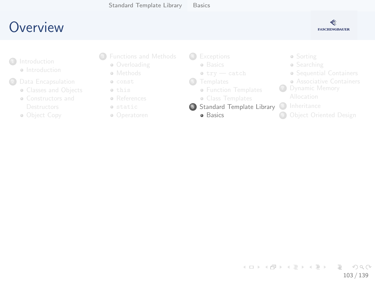## <span id="page-102-0"></span>**O[ve](#page-2-0)[rview](#page-3-0)**



- **a** Int[roduction](#page-8-0)
- - **Classes and Objects**
	- [Constructors and](#page-19-0)
	- Ob[ject Copy](#page-33-0)
- <sup>3</sup> [Fun](#page-7-0)ctions and Methods
	- **Overloading**
	- **•** Methods
	- const this
	- References
	- static
	- Operatoren

4 [Except](#page-54-0)ions

- **a** [B](#page-58-0)asics
- $\bullet$  try  $-$  catch
- **6** [Templates](#page-61-0)
	- **Function Templates**
	- [Class T](#page-65-0)emplates
- **6** [Standard Temp](#page-68-0)late Library
	- **a** Basics
- Sorting
- **•** Searching
- Sequential C[ontainers](#page-92-0)
- **Associative C[ontainers](#page-96-0)**
- **7** Dynamic M[emory](#page-101-0)
	-
- 8 Inheritance
- **9 Object Oriente[d Design](#page-102-0)**

イロト イ部 トイモト イモト Ξ  $OQ$ 103 / 139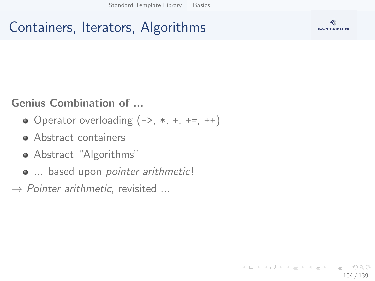## Containers, Iterators, Algorithms



#### Genius Combination of ...

- $\bullet$  Operator overloading  $(-), *, +, +=, ++$
- Abstract containers
- Abstract "Algorithms"
- $\bullet$  ... based upon pointer arithmetic!
- $\rightarrow$  Pointer arithmetic, revisited ...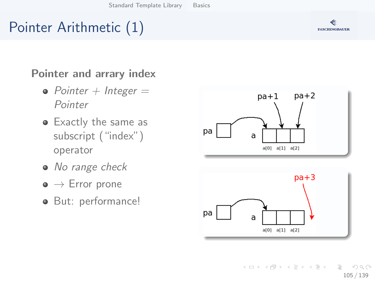# Pointer Arithmetic (1)

#### Pointer and arrary index

- Pointer  $+$  Integer  $=$ Pointer
- Exactly the same as subscript ("index") operator
- No range check
- $\bullet \to$  Error prone
- **But: performance!**





イロト イ部 トイヨ トイヨト Ξ  $OQ$ 105 / 139

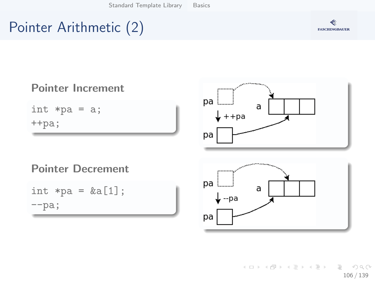# Pointer Arithmetic (2)





K ロ ▶ K 個 ▶ K ヨ ▶ K ヨ ▶ │ ヨ │ め 9,0 106 / 139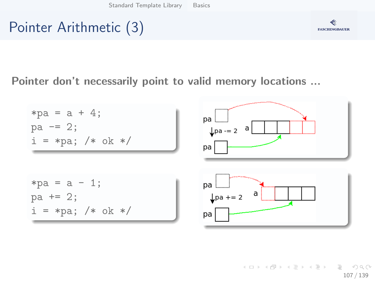# Pointer Arithmetic (3)



#### Pointer don't necessarily point to valid memory locations ...



K ロ ▶ K 個 ▶ K ヨ ▶ K ヨ ▶ │ ヨ │ め 9,0 107 / 139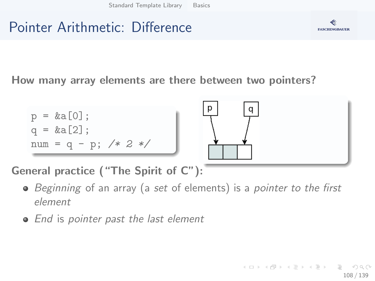# Pointer Arithmetic: Difference



How many array elements are there between two pointers?



General practice ("The Spirit of C"):

- Beginning of an array (a set of elements) is a pointer to the first element
- End is pointer past the last element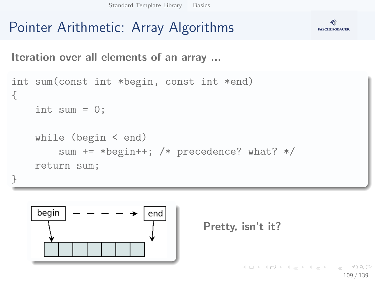# Pointer Arithmetic: Array Algorithms



Iteration over all elements of an array ...

```
int sum(const int *begin, const int *end)
{
    int sum = 0;
    while (begin < end)
        sum += *begin++; /* precedence? what? */
    return sum;
}
```




KED KAP KED KED E YAAN 109 / 139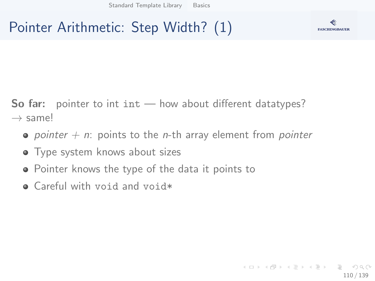# Pointer Arithmetic: Step Width? (1)



**So far:** pointer to int  $int - how$  about different datatypes?  $\rightarrow$  same!

- pointer  $+$  n: points to the *n*-th array element from pointer
- **•** Type system knows about sizes
- Pointer knows the type of the data it points to
- Careful with void and void\*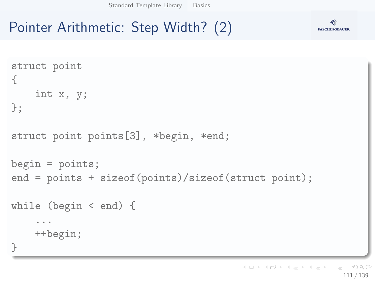# Pointer Arithmetic: Step Width? (2)



**FASCHINGBAUER**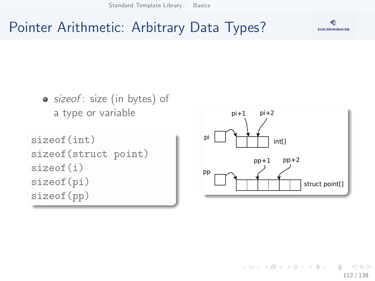### **FASCHINGBAUER**

## Pointer Arithmetic: Arbitrary Data Types?



 $\left\{ \begin{array}{ccc} 1 & 0 & 0 \\ 0 & 1 & 0 \end{array} \right\}$  ,  $\left\{ \begin{array}{ccc} 0 & 0 & 0 \\ 0 & 0 & 0 \end{array} \right\}$  ,  $\left\{ \begin{array}{ccc} 0 & 0 & 0 \\ 0 & 0 & 0 \end{array} \right\}$  $OQ$ 112 / 139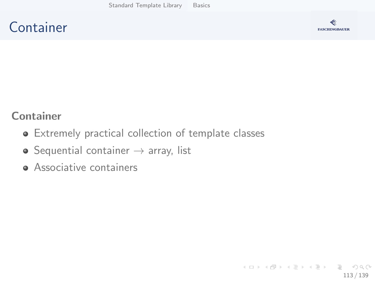### **Container**



### Container

- Extremely practical collection of template classes
- $\bullet$  Sequential container  $\rightarrow$  array, list
- **Associative containers**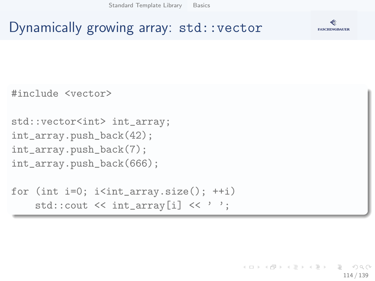

### Dynamically growing array: std::vector

#include <vector>

```
std::vector<int> int_array;
int_array.push_back(42);
int_array.push_back(7);
int_array.push_back(666);
```

```
for (int i=0; i i<int_array.size(); ++i)
    std::cout \lt\lt int_array[i] \lt\lt' ';
```
イロト イ押 トイヨト イヨト・ヨー  $\Omega$ 114 / 139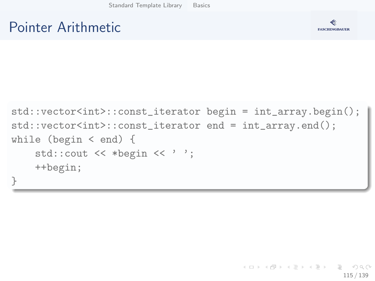### Pointer Arithmetic



```
std::vector<int>::const_iterator begin = int_array.begin();
std::vector<int>::const_iterator end = int_array.end();
while (begin < end) {
    std::cout << *begin << ' ';
    ++begin;
}
```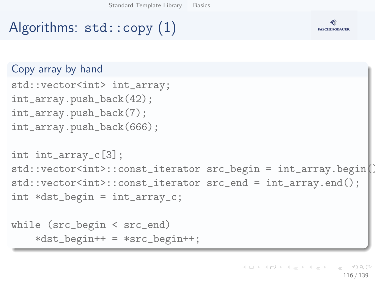# Algorithms: std::copy (1)



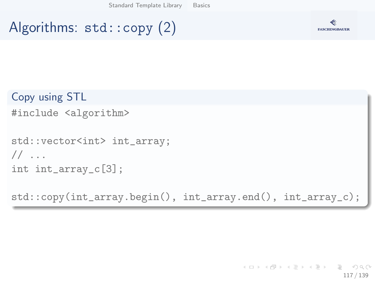# Algorithms: std::copy (2)



```
Copy using STL
#include <algorithm>
std::vector<int> int_array;
// ...
```

```
int int_array_c[3];
```
std::copy(int\_array.begin(), int\_array.end(), int\_array\_c);

K ロ ▶ K 個 ▶ K ヨ ▶ K ヨ ▶ │ ヨ │ め 9,0 117 / 139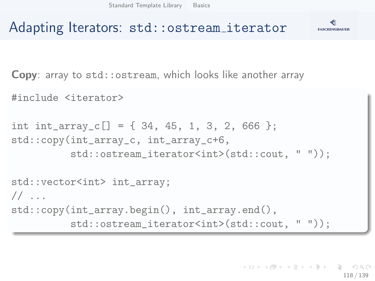

### Adapting Iterators: std::ostream iterator

Copy: array to std::ostream, which looks like another array

#include <iterator>

```
int int_array_c[] = \{34, 45, 1, 3, 2, 666 \};std::copy(int_array_c, int_array_c+6,
          std::ostream_iterator<int>(std::cout, " "));
std::vector<int> int_array;
1/ ...
std::copy(int_array.begin(), int_array.end(),
          std::ostream_iterator<int>(std::cout, " "));
```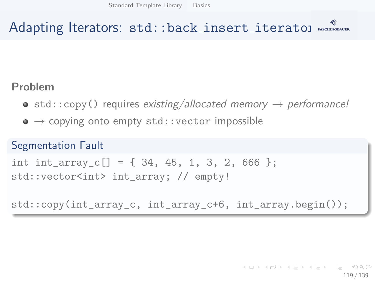# Adapting Iterators: std::back\_insert\_iteratol MAGANUMER

### Problem

- $\bullet$  std::copy() requires existing/allocated memory  $\rightarrow$  performance!
- $\bullet \rightarrow$  copying onto empty std::vector impossible

### Segmentation Fault

```
int int_array_c[] = \{34, 45, 1, 3, 2, 666 \};
std::vector<int> int_array; // empty!
```
std::copy(int\_array\_c, int\_array\_c+6, int\_array.begin());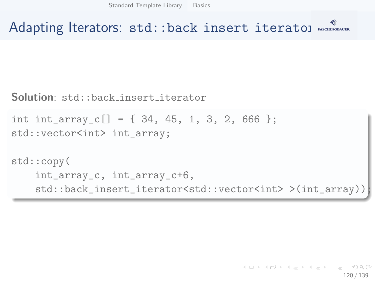Adapting Iterators: std::back\_insert\_iteratol MAGANUMER

Solution: std::back insert iterator

```
int int_array_c[] = \{34, 45, 1, 3, 2, 666 \};std::vector<int> int_array;
```

```
std::copy(
    int_array_c, int_array_c+6,
    std::back_insert_iterator<std::vector<int> >(int_array));
```
イロト イ押 トイヨト イヨト 一重 120 / 139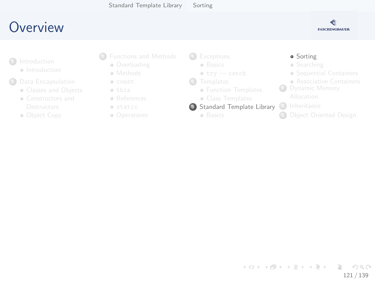## <span id="page-120-0"></span>**O[ve](#page-2-0)[rview](#page-3-0)**



- **a** Int[roduction](#page-8-0)
- <sup>2</sup> Data [Encapsulation](#page-19-0)
	- **Classes and Objects**
	- [Constructors and](#page-19-0)
	- Ob[ject Copy](#page-33-0)
- <sup>3</sup> [Fun](#page-7-0)ctions and Methods
	- **Overloading**
	- **•** Methods
	- const this
	- **•** References
	- static
	- Operatoren

4 [Except](#page-54-0)ions

- **a** [B](#page-58-0)asics
- $\bullet$  try  $-$  catch
- **6** [Templates](#page-61-0)
	- **Function Templates**
	- [Class T](#page-65-0)emplates
- <sup>6</sup> [Standard Temp](#page-68-0)late Library
	- **a** Basics

### **·** Sorting

- **•** Searching
- Sequential C[ontainers](#page-92-0)
- **Associative C[ontainers](#page-96-0)**
- **7** Dynamic M[emory](#page-101-0)
- 8 Inheritance
- **9 Object Oriente[d Design](#page-102-0)**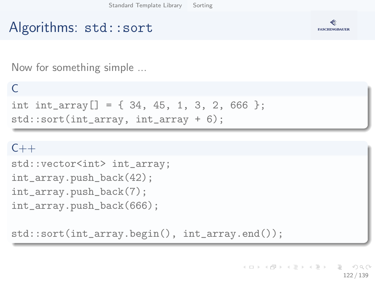# Algorithms: std::sort



Now for something simple ...

### $\Gamma$

int int\_array[] =  $\{34, 45, 1, 3, 2, 666 \};$ std::sort(int\_array, int\_array + 6);

### $C++$

```
std::vector<int> int_array;
int_array.push_back(42);
int_array.push_back(7);
int_array.push_back(666);
```
std::sort(int\_array.begin(), int\_array.end());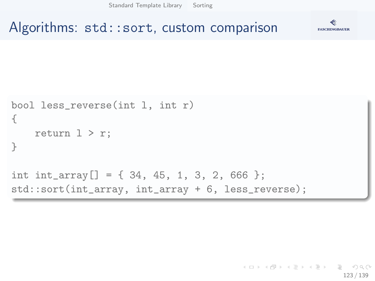[Standard Template Library](#page-101-0) [Sorting](#page-120-0)

```
Algorithms: std::sort, custom comparison
```


```
bool less_reverse(int l, int r)
{
    return 1 > r:
}
int int_array[] = \{ 34, 45, 1, 3, 2, 666 \};std::sort(int_array, int_array + 6, less_reverse);
```
K ロ ) - K (ラ ) - K (ミ ) - K (ミ ) - ( ) () 123 / 139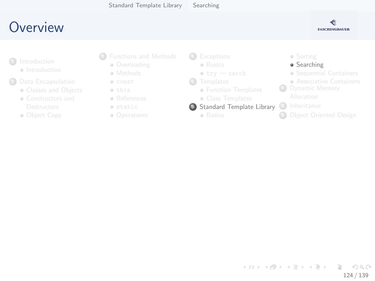## <span id="page-123-0"></span>**O[ve](#page-2-0)[rview](#page-3-0)**



- **a** Int[roduction](#page-8-0)
- - **Classes and Objects**
	- [Constructors and](#page-19-0)
	- Ob[ject Copy](#page-33-0)
- <sup>3</sup> [Fun](#page-7-0)ctions and Methods
	- **Overloading**
	- **•** Methods
	- const this
	- **•** References
	- static
	- Operatoren

4 [Except](#page-54-0)ions

- **a** [B](#page-58-0)asics
- $\bullet$  try  $-$  catch
- **6** [Templates](#page-61-0)
	- **Function Templates**
	- [Class T](#page-65-0)emplates
- <sup>6</sup> [Standard Temp](#page-68-0)late Library
	- **a** Basics

### Sorting

### **•** Searching

- Sequential C[ontainers](#page-92-0)
- **Associative C[ontainers](#page-96-0)**
- **7** Dynamic M[emory](#page-101-0)
- 8 Inheritance
- **9 Object Oriente[d Design](#page-102-0)**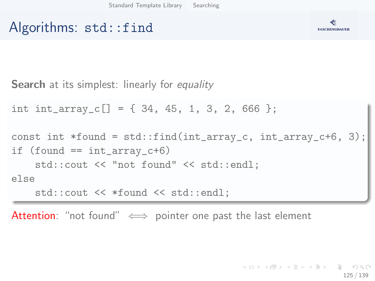### Algorithms: std::find



**Search** at its simplest: linearly for equality

int int\_array\_c[] =  $\{34, 45, 1, 3, 2, 666 \};$ 

const int  $*found = std::find(int_array_c, int_array_c+6, 3);$ if  $(found == int_array_c+6)$ std::cout << "not found" << std::endl; else std::cout << \*found << std::endl;

Attention: "not found"  $\iff$  pointer one past the last element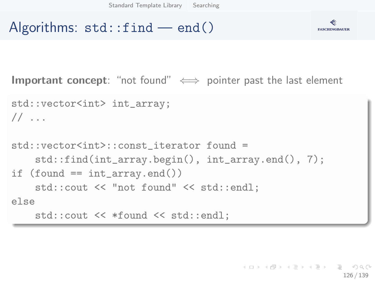### Algorithms:  $std::find$  — end()



```
Important concept: "not found" \iff pointer past the last element
std::vector<int> int_array;
1/ ...
std::vector<int>::const_iterator found =
    std::find(int_array.begin(), int_array.end(), 7);
if (found == int_{array.end})
    std::cout << "not found" << std::endl;
else
    std::cout << *found << std::endl;
```
KED KAP KED KED E YA GA 126 / 139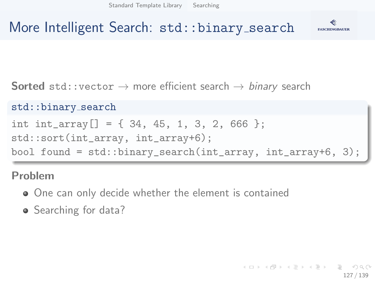[Standard Template Library](#page-101-0) [Searching](#page-123-0)



### More Intelligent Search: std::binary\_search

**Sorted** std::vector  $\rightarrow$  more efficient search  $\rightarrow$  binary search

### std::binary\_search

```
int int_array[] = { 34, 45, 1, 3, 2, 666 };
```
std::sort(int\_array, int\_array+6);

bool found = std::binary\_search(int\_array, int\_array+6, 3);

### Problem

- One can only decide whether the element is contained
- Searching for data?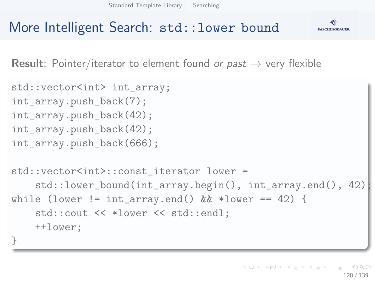[Standard Template Library](#page-101-0) [Searching](#page-123-0)



### More Intelligent Search: std:: lower\_bound

**Result:** Pointer/iterator to element found or past  $\rightarrow$  very flexible

```
std::vector<int> int_array;
int_array.push_back(7);
int_array.push_back(42);
int_array.push_back(42);
int_array.push_back(666);
std::vector<int>::const_iterator_lower =
    std::lower_bound(int_array.begin(), int_array.end(), 42);
while (lower != int_array.end() \& *lower == 42) {
    std::cout << *lower << std::endl;
    ++lower;
}
```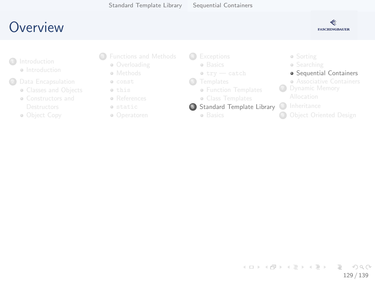### <span id="page-128-0"></span>**O[ve](#page-2-0)[rview](#page-3-0)**



- **a** Int[roduction](#page-8-0)
- - **Classes and Objects**
	- [Constructors and](#page-19-0)
	- Ob[ject Copy](#page-33-0)
- <sup>3</sup> [Fun](#page-7-0)ctions and Methods
	- **Overloading**
	- **•** Methods
	- const this
	- **•** References
	- static
	- Operatoren

4 [Except](#page-54-0)ions

- **a** [B](#page-58-0)asics
- $\bullet$  try  $-$  catch
- **6** [Templates](#page-61-0)
	- **Function Templates**
	- [Class T](#page-65-0)emplates
- <sup>6</sup> [Standard Temp](#page-68-0)late Library
	- **a** Basics
- Sorting
- **•** Searching
- **•** Sequential C[ontainers](#page-92-0)
- **Associative C[ontainers](#page-96-0) 7** Dynamic M[emory](#page-101-0)
- 8 Inheritance
- **9 Object Oriente[d Design](#page-102-0)**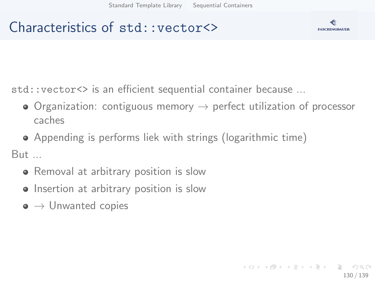### Characteristics of std::vector<>



std::vector<> is an efficient sequential container because ...

- $\bullet$  Organization: contiguous memory  $\rightarrow$  perfect utilization of processor caches
- Appending is performs liek with strings (logarithmic time)

But ...

- Removal at arbitrary position is slow
- Insertion at arbitrary position is slow
- $\bullet \to$  Unwanted copies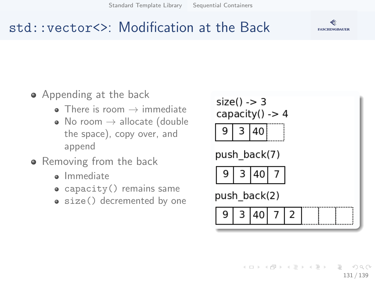[Standard Template Library](#page-101-0) [Sequential Containers](#page-128-0)





### std::vector<>: Modification at the Back

- Appending at the back
	- $\bullet$  There is room  $\rightarrow$  immediate
	- No room  $\rightarrow$  allocate (double the space), copy over, and append
- Removing from the back
	- Immediate
	- capacity () remains same
	- size() decremented by one

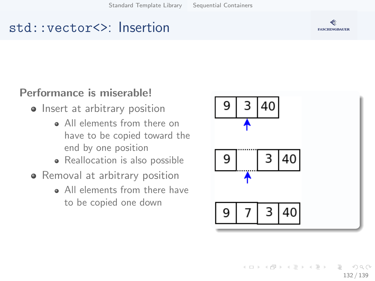### std::vector<>: Insertion



- Insert at arbitrary position
	- **All elements from there on** have to be copied toward the end by one position
	- Reallocation is also possible
- Removal at arbitrary position
	- All elements from there have to be copied one down



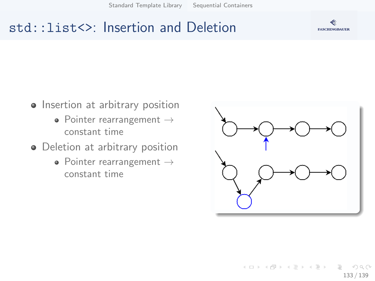[Standard Template Library](#page-101-0) [Sequential Containers](#page-128-0)

### std::list<>: Insertion and Deletion



133 / 139

 $OQ$ 

- Insertion at arbitrary position
	- Pointer rearrangement  $\rightarrow$ constant time
- Deletion at arbitrary position
	- Pointer rearrangement  $\rightarrow$ constant time



イロト イ部 トイモト イモト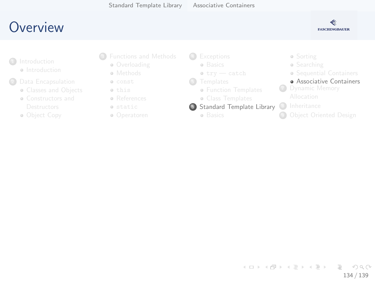# <span id="page-133-0"></span>**O[ve](#page-2-0)[rview](#page-3-0)**



- **a** Int[roduction](#page-8-0)
- - **Classes and Objects**
	- [Constructors and](#page-19-0)
	- Ob[ject Copy](#page-33-0)
- <sup>3</sup> [Fun](#page-7-0)ctions and Methods
	- **Overloading**
	- **•** Methods
	- const this
	- References
	- static
	- Operatoren

4 [Except](#page-54-0)ions

- **a** [B](#page-58-0)asics
- $\bullet$  try  $-$  catch
- **6** [Templates](#page-61-0)
	- **Function Templates**
	- [Class T](#page-65-0)emplates
- <sup>6</sup> [Standard Temp](#page-68-0)late Library
	- **a** Basics

Sorting **•** Searching Sequential C[ontainers](#page-92-0) **Associative C[ontainers](#page-96-0) 7** Dynamic M[emory](#page-101-0) 8 Inheritance **9 Object Oriente[d Design](#page-102-0)** 

イロト イ部 トイモト イモト Ξ  $OQ$ 134 / 139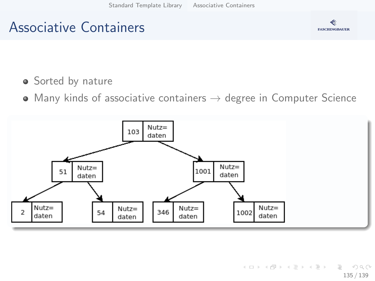### Associative Containers



- **•** Sorted by nature
- $\bullet$  Many kinds of associative containers  $\rightarrow$  degree in Computer Science

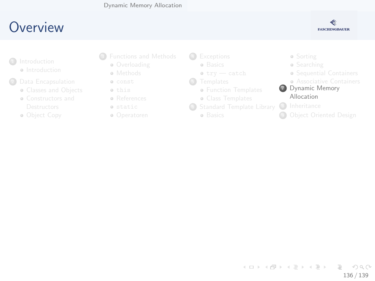### <span id="page-135-0"></span>**O[ve](#page-2-0)[rview](#page-3-0)**



- **a** Int[roduction](#page-8-0)
- <sup>2</sup> Data [Encapsulation](#page-19-0)
	- **Classes and Objects**
	- [Constructors and](#page-19-0)
	- Ob[ject Copy](#page-33-0)
- <sup>3</sup> [Fun](#page-7-0)ctions and Methods
	- **Overloading**
	- **•** Methods
	- const this
	- References
	- static
	- Operatoren
- 4 [Except](#page-54-0)ions
	- **a** [B](#page-58-0)asics
	- $\bullet$  try  $-$  catch
- **6** [Templates](#page-61-0)
	- **Function Templates**
	- [Class T](#page-65-0)emplates
- <sup>6</sup> [Standard Temp](#page-68-0)late Library
	- **a** Basics
- Sorting **•** Searching Sequential C[ontainers](#page-92-0) **Associative C[ontainers](#page-96-0)** <sup>7</sup> Dynamic M[emory](#page-101-0) Allocation 8 Inheritance
- **9 Object Oriente[d Design](#page-102-0)**

イロト イ部 トイモト イモト Ξ  $OQ$ 136 / 139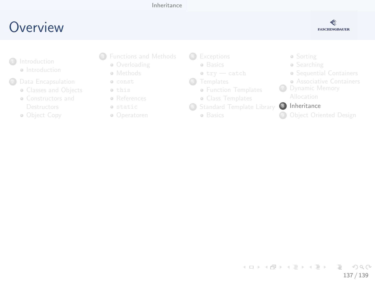### [Inheritance](#page-136-0)

## <span id="page-136-0"></span>**O[ve](#page-2-0)[rview](#page-3-0)**



- **a** Int[roduction](#page-8-0)
- <sup>2</sup> Data [Encapsulation](#page-19-0)
	- **Classes and Objects**
	- [Constructors and](#page-19-0)
	- Ob[ject Copy](#page-33-0)
- <sup>3</sup> [Fun](#page-7-0)ctions and Methods
	- **Overloading**
	- **•** Methods
	- const this
	- References
	- static
	- Operatoren
- 4 [Except](#page-54-0)ions
	- **a** [B](#page-58-0)asics
	- $\bullet$  try  $-$  catch
- **6** [Templates](#page-61-0)
	- **Function Templates**
	- [Class T](#page-65-0)emplates
- <sup>6</sup> [Standard Temp](#page-68-0)late Library
	- **a** Basics
- Sorting
- **•** Searching
- Sequential C[ontainers](#page-92-0)
- **Associative C[ontainers](#page-96-0)**
- **P** Dynamic M[emory](#page-101-0)

### 8 Inheritance

**<sup>4</sup>** Object Oriente[d Design](#page-102-0)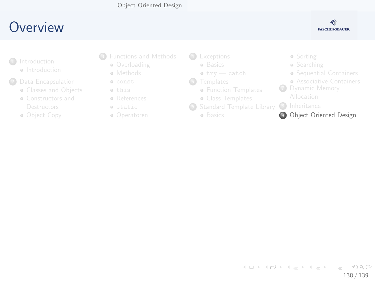### [Object Oriented Design](#page-137-0)

## <span id="page-137-0"></span>**O[ve](#page-2-0)[rview](#page-3-0)**



- **a** Int[roduction](#page-8-0)
- <sup>2</sup> Data [Encapsulation](#page-19-0)
	- **Classes and Objects**
	- [Constructors and](#page-19-0)
	- Ob[ject Copy](#page-33-0)
- <sup>3</sup> [Fun](#page-7-0)ctions and Methods
	- **Overloading**
	- **•** Methods
	- const this
	- **•** References
	- static
	- Operatoren
- 4 [Except](#page-54-0)ions
	- **a** [B](#page-58-0)asics
	- $\bullet$  try  $-$  catch
- **6** [Templates](#page-61-0)
	- **Function Templates**
	- [Class T](#page-65-0)emplates
- <sup>6</sup> [Standard Temp](#page-68-0)late Library
	- **a** Basics
- Sorting
- **•** Searching
- Sequential C[ontainers](#page-92-0)
- **Associative C[ontainers](#page-96-0)**
- **7** Dynamic M[emory](#page-101-0)
	-
- 8 Inheritance
- **9** Object Oriente[d Design](#page-102-0)